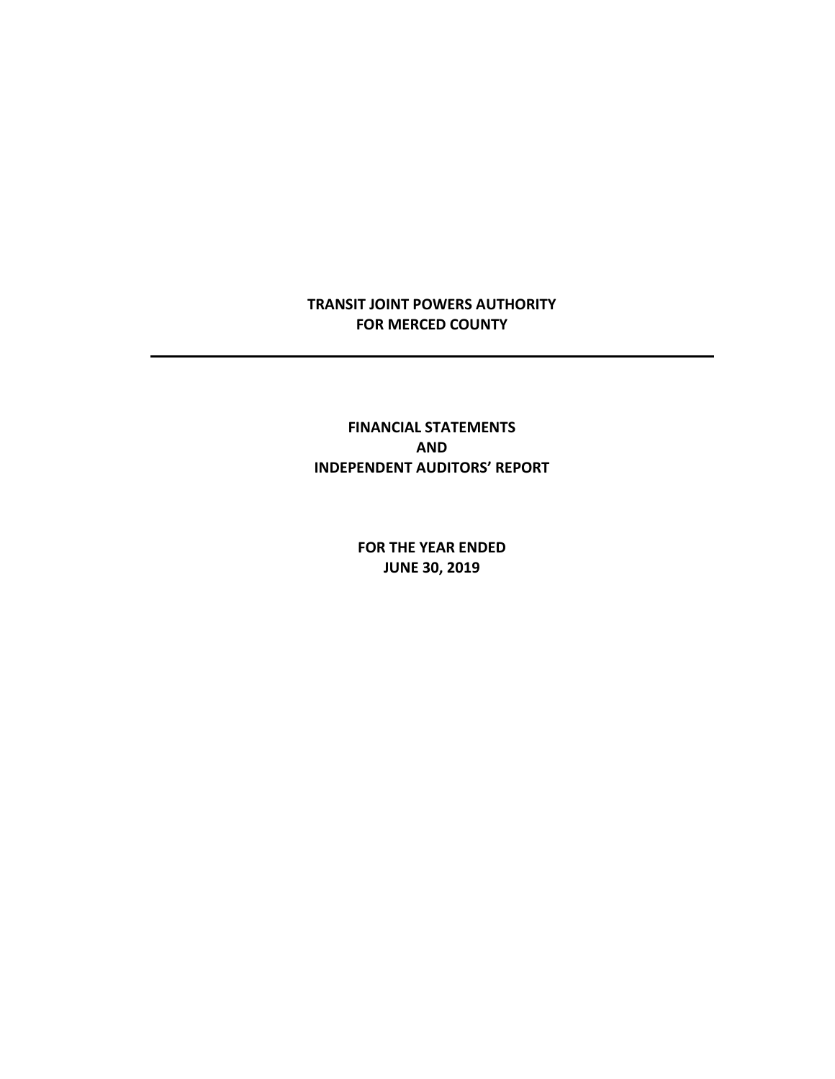# **TRANSIT JOINT POWERS AUTHORITY FOR MERCED COUNTY**

**FINANCIAL STATEMENTS AND INDEPENDENT AUDITORS' REPORT**

> **FOR THE YEAR ENDED JUNE 30, 2019**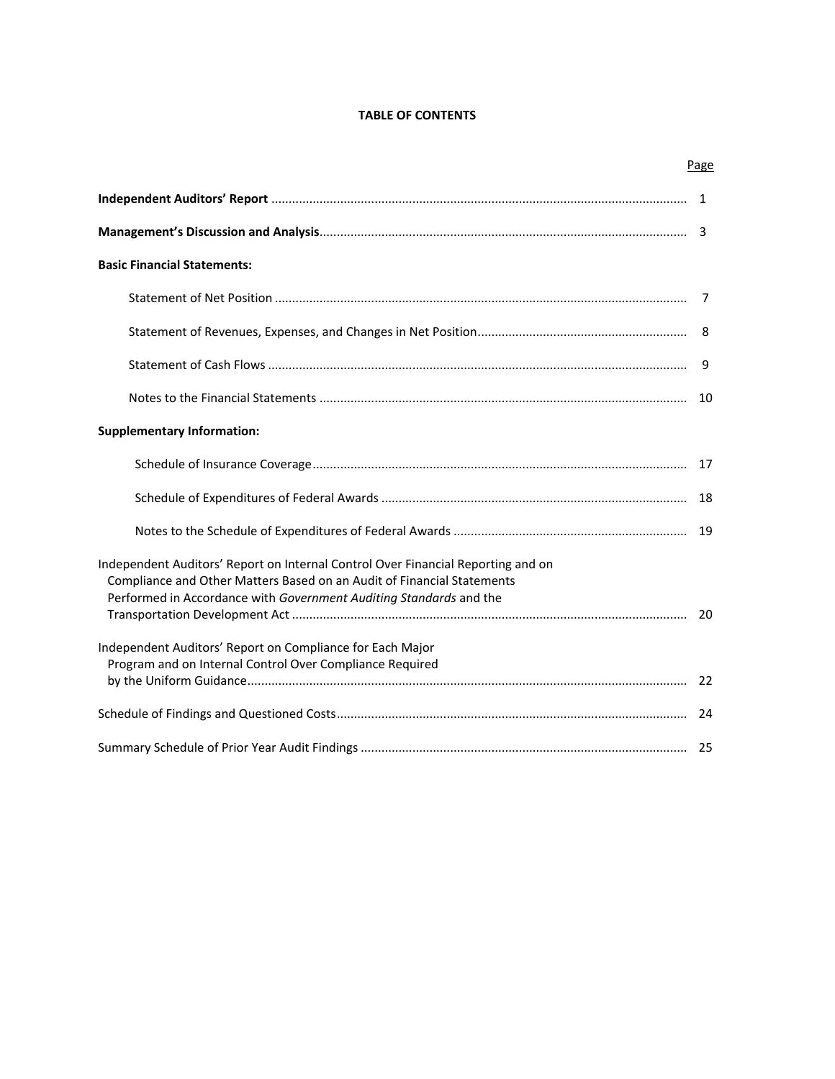# **TABLE OF CONTENTS**

|                                                                                                                                                                                                                                  | Page |
|----------------------------------------------------------------------------------------------------------------------------------------------------------------------------------------------------------------------------------|------|
|                                                                                                                                                                                                                                  |      |
|                                                                                                                                                                                                                                  |      |
| <b>Basic Financial Statements:</b>                                                                                                                                                                                               |      |
|                                                                                                                                                                                                                                  |      |
|                                                                                                                                                                                                                                  |      |
|                                                                                                                                                                                                                                  | 9    |
|                                                                                                                                                                                                                                  |      |
| <b>Supplementary Information:</b>                                                                                                                                                                                                |      |
|                                                                                                                                                                                                                                  |      |
|                                                                                                                                                                                                                                  |      |
|                                                                                                                                                                                                                                  |      |
| Independent Auditors' Report on Internal Control Over Financial Reporting and on<br>Compliance and Other Matters Based on an Audit of Financial Statements<br>Performed in Accordance with Government Auditing Standards and the |      |
| Independent Auditors' Report on Compliance for Each Major<br>Program and on Internal Control Over Compliance Required                                                                                                            |      |
|                                                                                                                                                                                                                                  |      |
|                                                                                                                                                                                                                                  |      |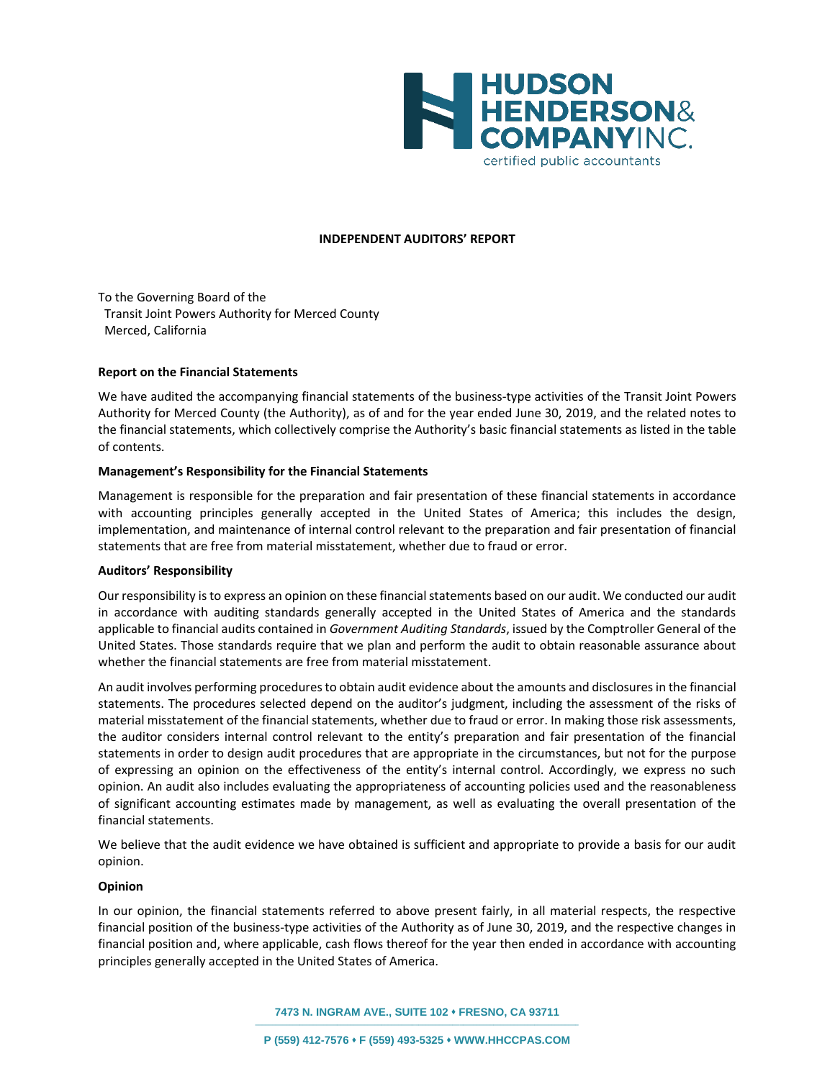

#### **INDEPENDENT AUDITORS' REPORT**

To the Governing Board of the Transit Joint Powers Authority for Merced County Merced, California

#### **Report on the Financial Statements**

We have audited the accompanying financial statements of the business-type activities of the Transit Joint Powers Authority for Merced County (the Authority), as of and for the year ended June 30, 2019, and the related notes to the financial statements, which collectively comprise the Authority's basic financial statements as listed in the table of contents.

#### **Management's Responsibility for the Financial Statements**

Management is responsible for the preparation and fair presentation of these financial statements in accordance with accounting principles generally accepted in the United States of America; this includes the design, implementation, and maintenance of internal control relevant to the preparation and fair presentation of financial statements that are free from material misstatement, whether due to fraud or error.

#### **Auditors' Responsibility**

Our responsibility is to express an opinion on these financial statements based on our audit. We conducted our audit in accordance with auditing standards generally accepted in the United States of America and the standards applicable to financial audits contained in *Government Auditing Standards*, issued by the Comptroller General of the United States. Those standards require that we plan and perform the audit to obtain reasonable assurance about whether the financial statements are free from material misstatement.

An audit involves performing procedures to obtain audit evidence about the amounts and disclosures in the financial statements. The procedures selected depend on the auditor's judgment, including the assessment of the risks of material misstatement of the financial statements, whether due to fraud or error. In making those risk assessments, the auditor considers internal control relevant to the entity's preparation and fair presentation of the financial statements in order to design audit procedures that are appropriate in the circumstances, but not for the purpose of expressing an opinion on the effectiveness of the entity's internal control. Accordingly, we express no such opinion. An audit also includes evaluating the appropriateness of accounting policies used and the reasonableness of significant accounting estimates made by management, as well as evaluating the overall presentation of the financial statements.

We believe that the audit evidence we have obtained is sufficient and appropriate to provide a basis for our audit opinion.

#### **Opinion**

In our opinion, the financial statements referred to above present fairly, in all material respects, the respective financial position of the business-type activities of the Authority as of June 30, 2019, and the respective changes in financial position and, where applicable, cash flows thereof for the year then ended in accordance with accounting principles generally accepted in the United States of America.

**7473 N. INGRAM AVE., SUITE 102** ⬧ **FRESNO, CA 93711**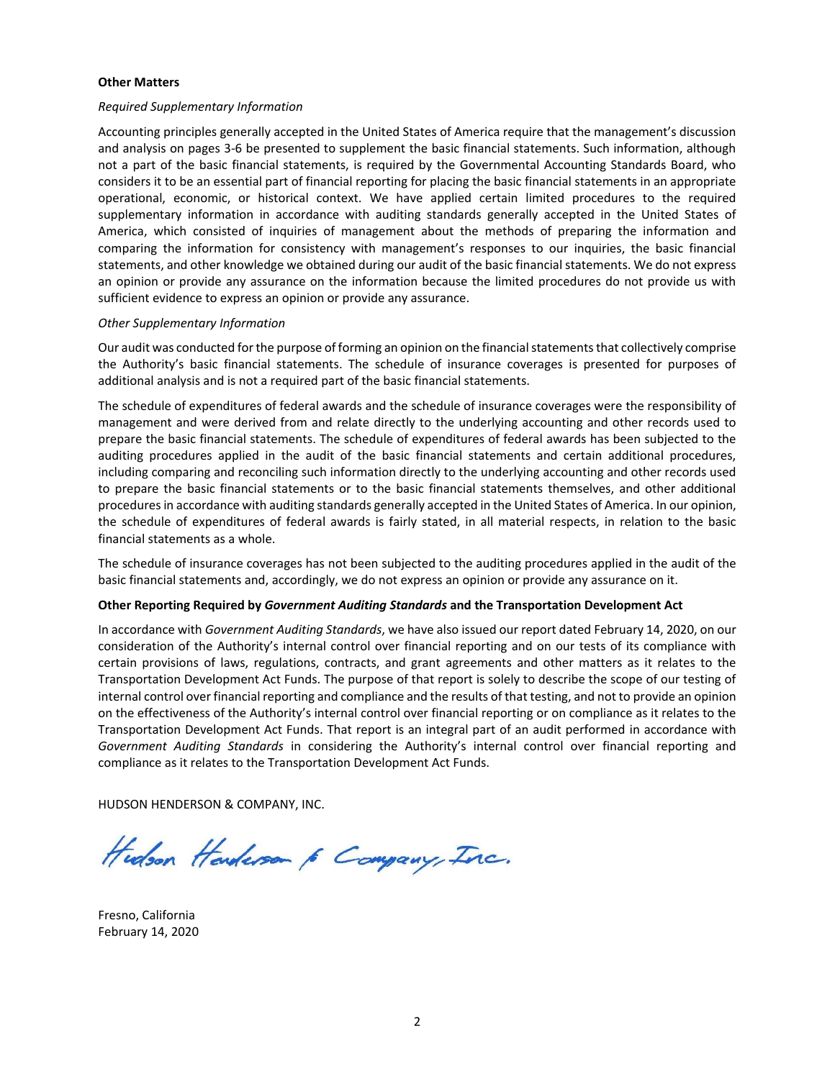#### **Other Matters**

#### *Required Supplementary Information*

Accounting principles generally accepted in the United States of America require that the management's discussion and analysis on pages 3-6 be presented to supplement the basic financial statements. Such information, although not a part of the basic financial statements, is required by the Governmental Accounting Standards Board, who considers it to be an essential part of financial reporting for placing the basic financial statements in an appropriate operational, economic, or historical context. We have applied certain limited procedures to the required supplementary information in accordance with auditing standards generally accepted in the United States of America, which consisted of inquiries of management about the methods of preparing the information and comparing the information for consistency with management's responses to our inquiries, the basic financial statements, and other knowledge we obtained during our audit of the basic financial statements. We do not express an opinion or provide any assurance on the information because the limited procedures do not provide us with sufficient evidence to express an opinion or provide any assurance.

#### *Other Supplementary Information*

Our audit was conducted for the purpose of forming an opinion on the financial statements that collectively comprise the Authority's basic financial statements. The schedule of insurance coverages is presented for purposes of additional analysis and is not a required part of the basic financial statements.

The schedule of expenditures of federal awards and the schedule of insurance coverages were the responsibility of management and were derived from and relate directly to the underlying accounting and other records used to prepare the basic financial statements. The schedule of expenditures of federal awards has been subjected to the auditing procedures applied in the audit of the basic financial statements and certain additional procedures, including comparing and reconciling such information directly to the underlying accounting and other records used to prepare the basic financial statements or to the basic financial statements themselves, and other additional procedures in accordance with auditing standards generally accepted in the United States of America. In our opinion, the schedule of expenditures of federal awards is fairly stated, in all material respects, in relation to the basic financial statements as a whole.

The schedule of insurance coverages has not been subjected to the auditing procedures applied in the audit of the basic financial statements and, accordingly, we do not express an opinion or provide any assurance on it.

#### **Other Reporting Required by** *Government Auditing Standards* **and the Transportation Development Act**

In accordance with *Government Auditing Standards*, we have also issued our report dated February 14, 2020, on our consideration of the Authority's internal control over financial reporting and on our tests of its compliance with certain provisions of laws, regulations, contracts, and grant agreements and other matters as it relates to the Transportation Development Act Funds. The purpose of that report is solely to describe the scope of our testing of internal control over financial reporting and compliance and the results of that testing, and not to provide an opinion on the effectiveness of the Authority's internal control over financial reporting or on compliance as it relates to the Transportation Development Act Funds. That report is an integral part of an audit performed in accordance with *Government Auditing Standards* in considering the Authority's internal control over financial reporting and compliance as it relates to the Transportation Development Act Funds.

HUDSON HENDERSON & COMPANY, INC.

Hudson Handerson 6 Company, Inc.

Fresno, California February 14, 2020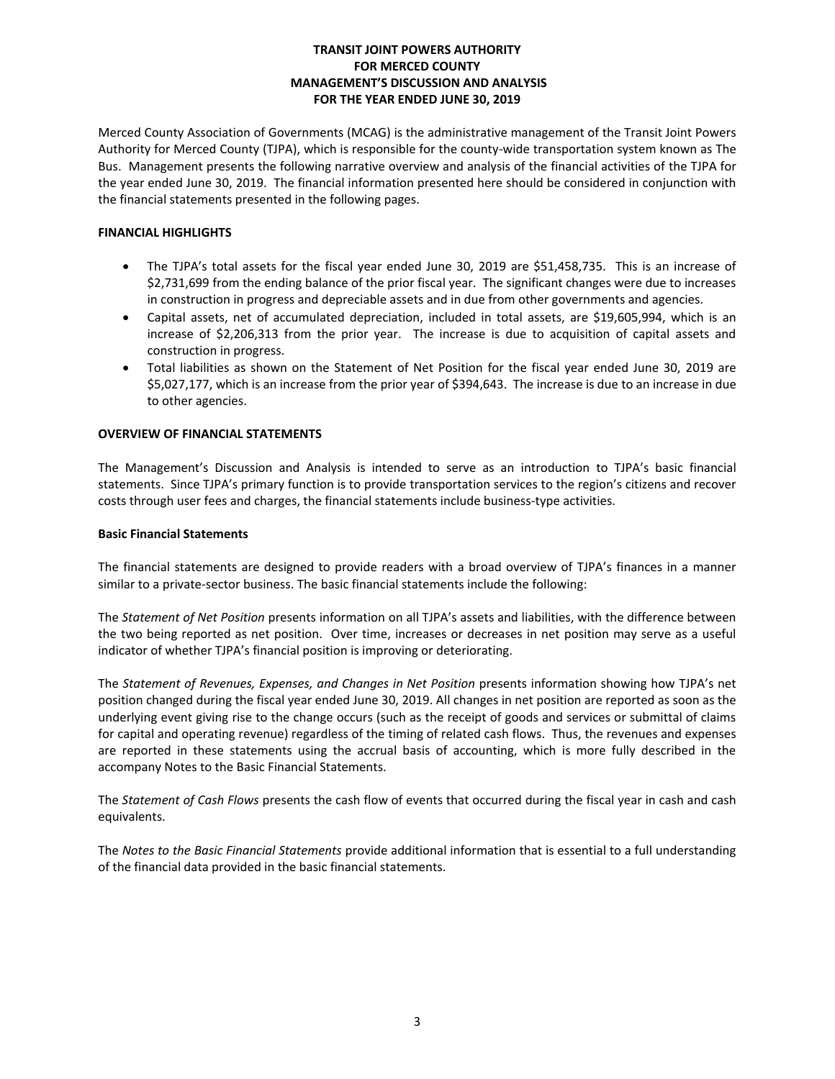# **TRANSIT JOINT POWERS AUTHORITY FOR MERCED COUNTY MANAGEMENT'S DISCUSSION AND ANALYSIS FOR THE YEAR ENDED JUNE 30, 2019**

Merced County Association of Governments (MCAG) is the administrative management of the Transit Joint Powers Authority for Merced County (TJPA), which is responsible for the county-wide transportation system known as The Bus. Management presents the following narrative overview and analysis of the financial activities of the TJPA for the year ended June 30, 2019. The financial information presented here should be considered in conjunction with the financial statements presented in the following pages.

### **FINANCIAL HIGHLIGHTS**

- The TJPA's total assets for the fiscal year ended June 30, 2019 are \$51,458,735. This is an increase of \$2,731,699 from the ending balance of the prior fiscal year. The significant changes were due to increases in construction in progress and depreciable assets and in due from other governments and agencies.
- Capital assets, net of accumulated depreciation, included in total assets, are \$19,605,994, which is an increase of \$2,206,313 from the prior year. The increase is due to acquisition of capital assets and construction in progress.
- Total liabilities as shown on the Statement of Net Position for the fiscal year ended June 30, 2019 are \$5,027,177, which is an increase from the prior year of \$394,643. The increase is due to an increase in due to other agencies.

## **OVERVIEW OF FINANCIAL STATEMENTS**

The Management's Discussion and Analysis is intended to serve as an introduction to TJPA's basic financial statements. Since TJPA's primary function is to provide transportation services to the region's citizens and recover costs through user fees and charges, the financial statements include business-type activities.

#### **Basic Financial Statements**

The financial statements are designed to provide readers with a broad overview of TJPA's finances in a manner similar to a private-sector business. The basic financial statements include the following:

The *Statement of Net Position* presents information on all TJPA's assets and liabilities, with the difference between the two being reported as net position. Over time, increases or decreases in net position may serve as a useful indicator of whether TJPA's financial position is improving or deteriorating.

The *Statement of Revenues, Expenses, and Changes in Net Position* presents information showing how TJPA's net position changed during the fiscal year ended June 30, 2019. All changes in net position are reported as soon as the underlying event giving rise to the change occurs (such as the receipt of goods and services or submittal of claims for capital and operating revenue) regardless of the timing of related cash flows. Thus, the revenues and expenses are reported in these statements using the accrual basis of accounting, which is more fully described in the accompany Notes to the Basic Financial Statements.

The *Statement of Cash Flows* presents the cash flow of events that occurred during the fiscal year in cash and cash equivalents.

The *Notes to the Basic Financial Statements* provide additional information that is essential to a full understanding of the financial data provided in the basic financial statements.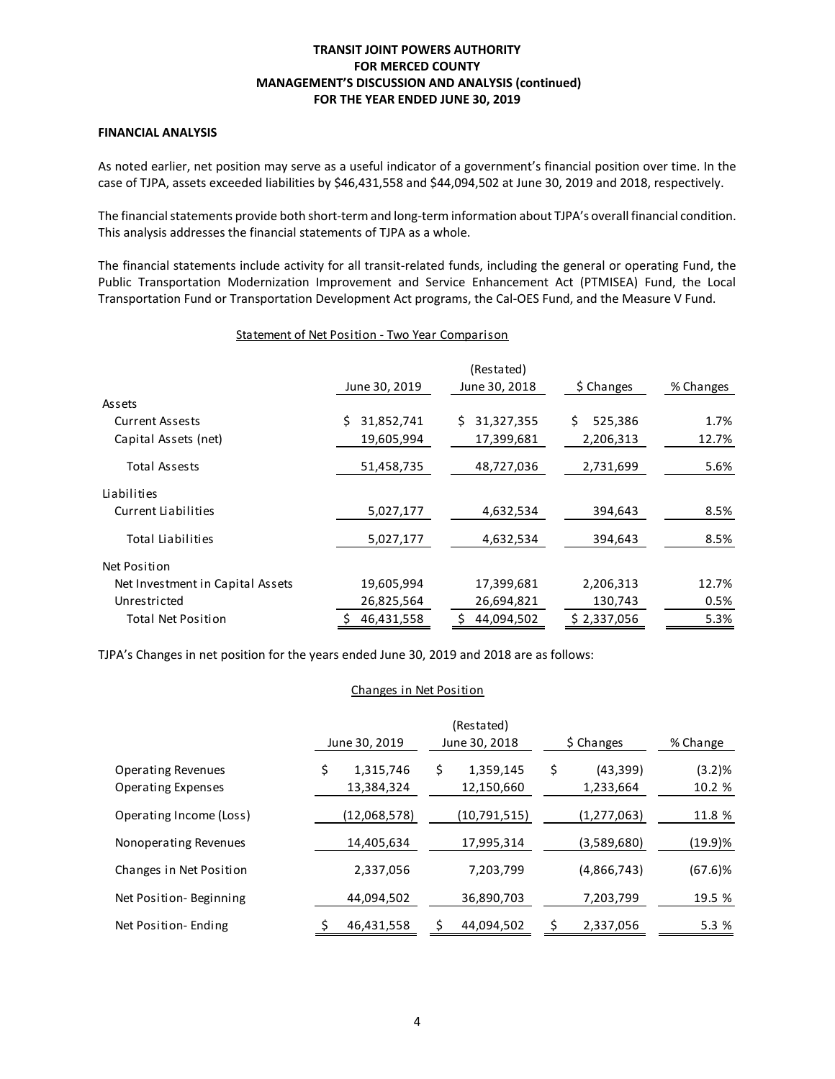## **TRANSIT JOINT POWERS AUTHORITY FOR MERCED COUNTY MANAGEMENT'S DISCUSSION AND ANALYSIS (continued) FOR THE YEAR ENDED JUNE 30, 2019**

#### **FINANCIAL ANALYSIS**

As noted earlier, net position may serve as a useful indicator of a government's financial position over time. In the case of TJPA, assets exceeded liabilities by \$46,431,558 and \$44,094,502 at June 30, 2019 and 2018, respectively.

The financial statements provide both short-term and long-term information about TJPA's overall financial condition. This analysis addresses the financial statements of TJPA as a whole.

The financial statements include activity for all transit-related funds, including the general or operating Fund, the Public Transportation Modernization Improvement and Service Enhancement Act (PTMISEA) Fund, the Local Transportation Fund or Transportation Development Act programs, the Cal-OES Fund, and the Measure V Fund.

### Statement of Net Position - Two Year Comparison

|                                  | Statement of Net Position - Two Year Comparison |                             |               |           |
|----------------------------------|-------------------------------------------------|-----------------------------|---------------|-----------|
|                                  | June 30, 2019                                   | (Restated)<br>June 30, 2018 | \$ Changes    | % Changes |
| Assets                           |                                                 |                             |               |           |
| <b>Current Assests</b>           | Ś.<br>31,852,741                                | Ś.<br>31,327,355            | Ś.<br>525,386 | 1.7%      |
| Capital Assets (net)             | 19,605,994                                      | 17,399,681                  | 2,206,313     | 12.7%     |
| <b>Total Assests</b>             | 51,458,735                                      | 48,727,036                  | 2,731,699     | 5.6%      |
| Liabilities                      |                                                 |                             |               |           |
| Current Liabilities              | 5,027,177                                       | 4,632,534                   | 394,643       | 8.5%      |
| <b>Total Liabilities</b>         | 5,027,177                                       | 4,632,534                   | 394,643       | 8.5%      |
| Net Position                     |                                                 |                             |               |           |
| Net Investment in Capital Assets | 19,605,994                                      | 17,399,681                  | 2,206,313     | 12.7%     |
| Unrestricted                     | 26,825,564                                      | 26,694,821                  | 130,743       | 0.5%      |
| <b>Total Net Position</b>        | 46,431,558                                      | 44,094,502<br>Š.            | \$2,337,056   | 5.3%      |
|                                  |                                                 |                             |               |           |

TJPA's Changes in net position for the years ended June 30, 2019 and 2018 are as follows:

#### Changes in Net Position

|                                          | Changes in Net Position       |    |                             |    |                       |                  |
|------------------------------------------|-------------------------------|----|-----------------------------|----|-----------------------|------------------|
|                                          | June 30, 2019                 |    | (Restated)<br>June 30, 2018 |    | \$ Changes            | % Change         |
| Operating Revenues<br>Operating Expenses | \$<br>1,315,746<br>13,384,324 | \$ | 1,359,145<br>12,150,660     | \$ | (43,399)<br>1,233,664 | (3.2)%<br>10.2 % |
| Operating Income (Loss)                  | (12,068,578)                  |    | (10,791,515)                |    | (1,277,063)           | 11.8 %           |
| Nonoperating Revenues                    | 14,405,634                    |    | 17,995,314                  |    | (3,589,680)           | (19.9)%          |
| Changes in Net Position                  | 2,337,056                     |    | 7,203,799                   |    | (4,866,743)           | $(67.6)$ %       |
| Net Position-Beginning                   | 44,094,502                    |    | 36,890,703                  |    | 7,203,799             | 19.5 %           |
| Net Position-Ending                      | 46,431,558                    | Ş  | 44,094,502                  | S  | 2,337,056             | 5.3 %            |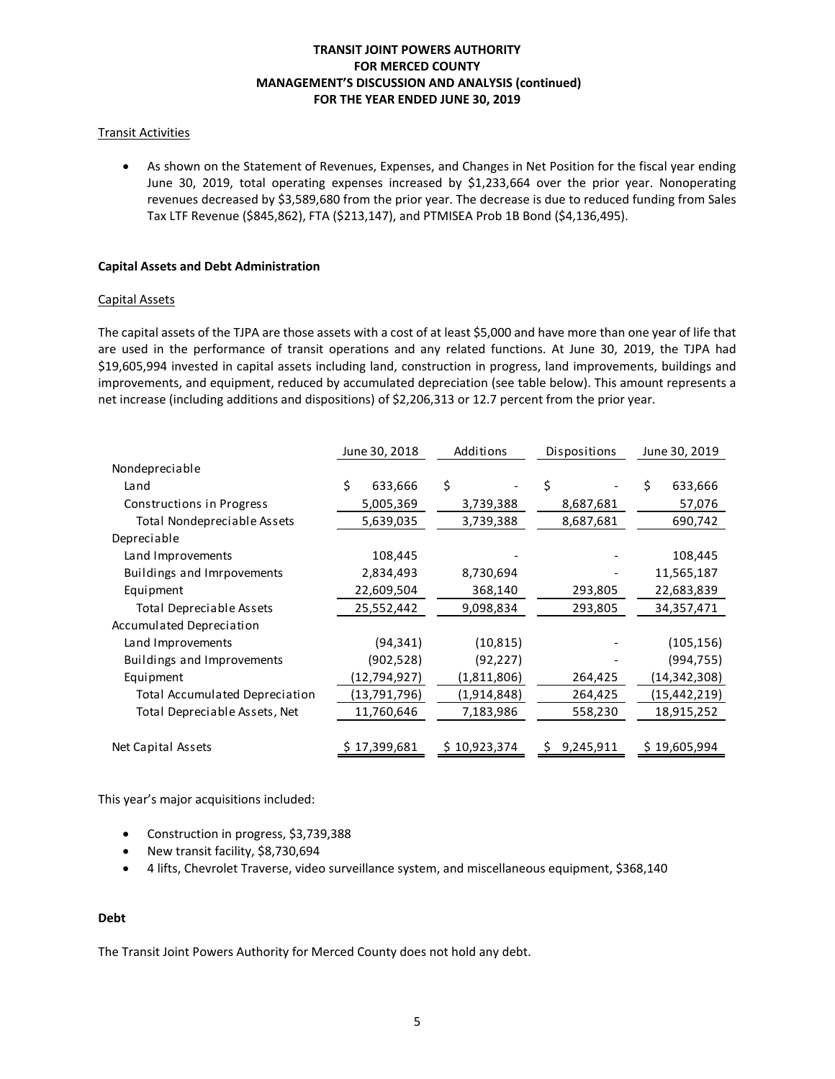# **TRANSIT JOINT POWERS AUTHORITY FOR MERCED COUNTY MANAGEMENT'S DISCUSSION AND ANALYSIS (continued) FOR THE YEAR ENDED JUNE 30, 2019**

### Transit Activities

• As shown on the Statement of Revenues, Expenses, and Changes in Net Position for the fiscal year ending June 30, 2019, total operating expenses increased by \$1,233,664 over the prior year. Nonoperating revenues decreased by \$3,589,680 from the prior year. The decrease is due to reduced funding from Sales Tax LTF Revenue (\$845,862), FTA (\$213,147), and PTMISEA Prob 1B Bond (\$4,136,495).

### **Capital Assets and Debt Administration**

### Capital Assets

The capital assets of the TJPA are those assets with a cost of at least \$5,000 and have more than one year of life that are used in the performance of transit operations and any related functions. At June 30, 2019, the TJPA had \$19,605,994 invested in capital assets including land, construction in progress, land improvements, buildings and improvements, and equipment, reduced by accumulated depreciation (see table below). This amount represents a

| net increase (including additions and dispositions) of \$2,206,313 or 12.7 percent from the prior year. |                |              |                 |                |
|---------------------------------------------------------------------------------------------------------|----------------|--------------|-----------------|----------------|
|                                                                                                         | June 30, 2018  | Additions    | Dispositions    | June 30, 2019  |
| Nondepreciable                                                                                          |                |              |                 |                |
| Land                                                                                                    | \$<br>633,666  | \$           | \$              | \$<br>633,666  |
| Constructions in Progress                                                                               | 5,005,369      | 3,739,388    | 8,687,681       | 57,076         |
| Total Nondepreciable Assets                                                                             | 5,639,035      | 3,739,388    | 8,687,681       | 690,742        |
| Depreciable                                                                                             |                |              |                 |                |
| Land Improvements                                                                                       | 108,445        |              |                 | 108,445        |
| Buildings and Imrpovements                                                                              | 2,834,493      | 8,730,694    |                 | 11,565,187     |
| Equipment                                                                                               | 22,609,504     | 368,140      | 293,805         | 22,683,839     |
| Total Depreciable Assets                                                                                | 25,552,442     | 9,098,834    | 293,805         | 34,357,471     |
| Accumulated Depreciation                                                                                |                |              |                 |                |
| Land Improvements                                                                                       | (94, 341)      | (10, 815)    |                 | (105, 156)     |
| Buildings and Improvements                                                                              | (902, 528)     | (92, 227)    |                 | (994, 755)     |
| Equipment                                                                                               | (12,794,927)   | (1,811,806)  | 264,425         | (14, 342, 308) |
| <b>Total Accumulated Depreciation</b>                                                                   | (13, 791, 796) | (1,914,848)  | 264,425         | (15, 442, 219) |
| Total Depreciable Assets, Net                                                                           | 11,760,646     | 7,183,986    | 558,230         | 18,915,252     |
|                                                                                                         |                |              |                 |                |
| Net Capital Assets                                                                                      | \$17,399,681   | \$10,923,374 | 9,245,911<br>\$ | \$19,605,994   |
|                                                                                                         |                |              |                 |                |

This year's major acquisitions included:

- Construction in progress, \$3,739,388
- New transit facility, \$8,730,694
- 4 lifts, Chevrolet Traverse, video surveillance system, and miscellaneous equipment, \$368,140

#### **Debt**

The Transit Joint Powers Authority for Merced County does not hold any debt.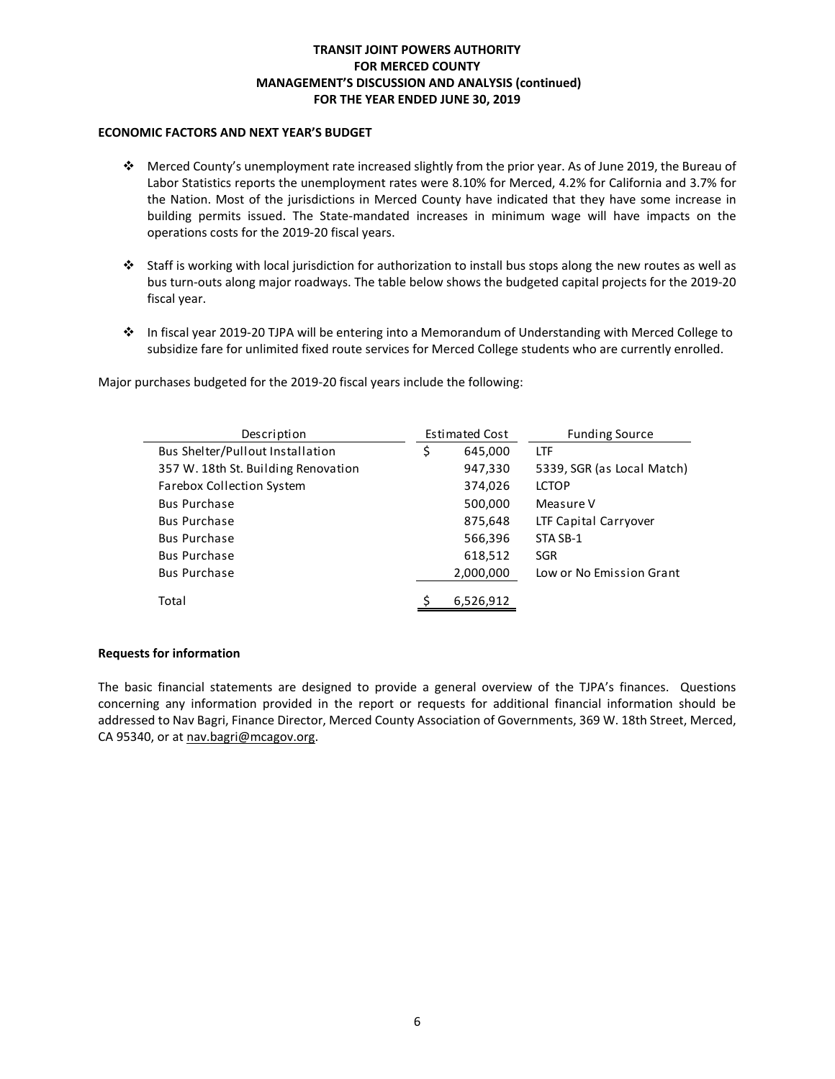## **TRANSIT JOINT POWERS AUTHORITY FOR MERCED COUNTY MANAGEMENT'S DISCUSSION AND ANALYSIS (continued) FOR THE YEAR ENDED JUNE 30, 2019**

### **ECONOMIC FACTORS AND NEXT YEAR'S BUDGET**

- ❖ Merced County's unemployment rate increased slightly from the prior year. As of June 2019, the Bureau of Labor Statistics reports the unemployment rates were 8.10% for Merced, 4.2% for California and 3.7% for the Nation. Most of the jurisdictions in Merced County have indicated that they have some increase in building permits issued. The State-mandated increases in minimum wage will have impacts on the operations costs for the 2019-20 fiscal years.
- ❖ Staff is working with local jurisdiction for authorization to install bus stops along the new routes as well as bus turn-outs along major roadways. The table below shows the budgeted capital projects for the 2019-20 fiscal year.
- ❖ In fiscal year 2019-20 TJPA will be entering into a Memorandum of Understanding with Merced College to subsidize fare for unlimited fixed route services for Merced College students who are currently enrolled.

Major purchases budgeted for the 2019-20 fiscal years include the following:

| dictiones budgeted for the 2019-20 fiscal years include the following. |                       |                            |
|------------------------------------------------------------------------|-----------------------|----------------------------|
| Description                                                            | <b>Estimated Cost</b> | <b>Funding Source</b>      |
| Bus Shelter/Pullout Installation                                       | \$<br>645,000         | LTF                        |
| 357 W. 18th St. Building Renovation                                    | 947,330               | 5339, SGR (as Local Match) |
| Farebox Collection System                                              | 374,026               | <b>LCTOP</b>               |
| <b>Bus Purchase</b>                                                    | 500,000               | Measure V                  |
| <b>Bus Purchase</b>                                                    | 875,648               | LTF Capital Carryover      |
| <b>Bus Purchase</b>                                                    | 566,396               | STA SB-1                   |
| <b>Bus Purchase</b>                                                    | 618,512               | <b>SGR</b>                 |
| <b>Bus Purchase</b>                                                    | 2,000,000             | Low or No Emission Grant   |
| Total                                                                  | 6,526,912             |                            |

#### **Requests for information**

The basic financial statements are designed to provide a general overview of the TJPA's finances. Questions concerning any information provided in the report or requests for additional financial information should be addressed to Nav Bagri, Finance Director, Merced County Association of Governments, 369 W. 18th Street, Merced, CA 95340, or at nav.bagri@mcagov.org.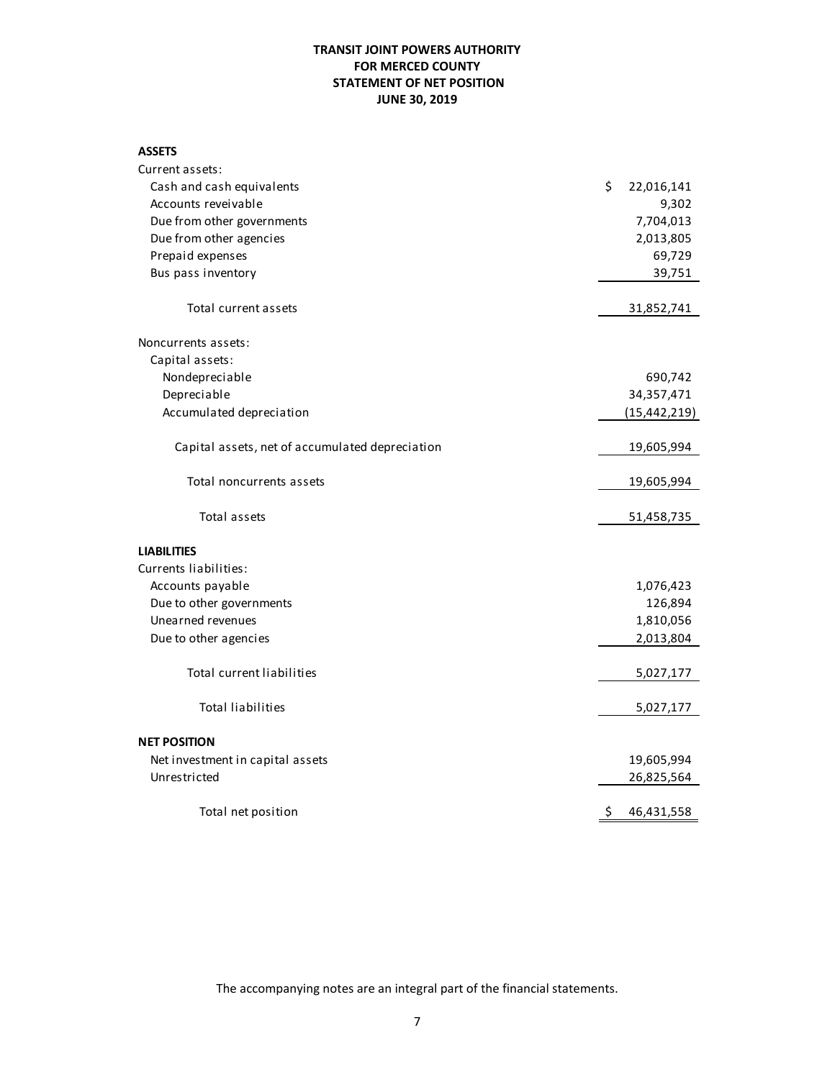# **TRANSIT JOINT POWERS AUTHORITY FOR MERCED COUNTY STATEMENT OF NET POSITION JUNE 30, 2019**

| Current assets:<br>Cash and cash equivalents<br>Accounts reveivable<br>Due from other governments<br>Due from other agencies<br>Prepaid expenses<br>Bus pass inventory<br>Total current assets | \$<br>22,016,141<br>9,302<br>7,704,013<br>2,013,805<br>69,729<br>39,751 |
|------------------------------------------------------------------------------------------------------------------------------------------------------------------------------------------------|-------------------------------------------------------------------------|
|                                                                                                                                                                                                |                                                                         |
|                                                                                                                                                                                                |                                                                         |
|                                                                                                                                                                                                |                                                                         |
|                                                                                                                                                                                                |                                                                         |
|                                                                                                                                                                                                |                                                                         |
|                                                                                                                                                                                                |                                                                         |
|                                                                                                                                                                                                |                                                                         |
|                                                                                                                                                                                                | 31,852,741                                                              |
| Noncurrents assets:                                                                                                                                                                            |                                                                         |
| Capital assets:                                                                                                                                                                                |                                                                         |
| Nondepreciable                                                                                                                                                                                 | 690,742                                                                 |
| Depreciable                                                                                                                                                                                    | 34, 357, 471                                                            |
| Accumulated depreciation                                                                                                                                                                       | (15, 442, 219)                                                          |
| Capital assets, net of accumulated depreciation                                                                                                                                                | 19,605,994                                                              |
| Total noncurrents assets                                                                                                                                                                       | 19,605,994                                                              |
| Total assets                                                                                                                                                                                   | 51,458,735                                                              |
| <b>LIABILITIES</b>                                                                                                                                                                             |                                                                         |
| Currents liabilities:                                                                                                                                                                          |                                                                         |
| Accounts payable                                                                                                                                                                               | 1,076,423                                                               |
| Due to other governments                                                                                                                                                                       | 126,894                                                                 |
| Unearned revenues                                                                                                                                                                              | 1,810,056                                                               |
| Due to other agencies                                                                                                                                                                          | 2,013,804                                                               |
| <b>Total current liabilities</b>                                                                                                                                                               | 5,027,177                                                               |
| <b>Total liabilities</b>                                                                                                                                                                       | 5,027,177                                                               |
| <b>NET POSITION</b>                                                                                                                                                                            |                                                                         |
| Net investment in capital assets                                                                                                                                                               | 19,605,994                                                              |
| Unrestricted                                                                                                                                                                                   | 26,825,564                                                              |
| Total net position                                                                                                                                                                             | Ş<br>46,431,558                                                         |

The accompanying notes are an integral part of the financial statements.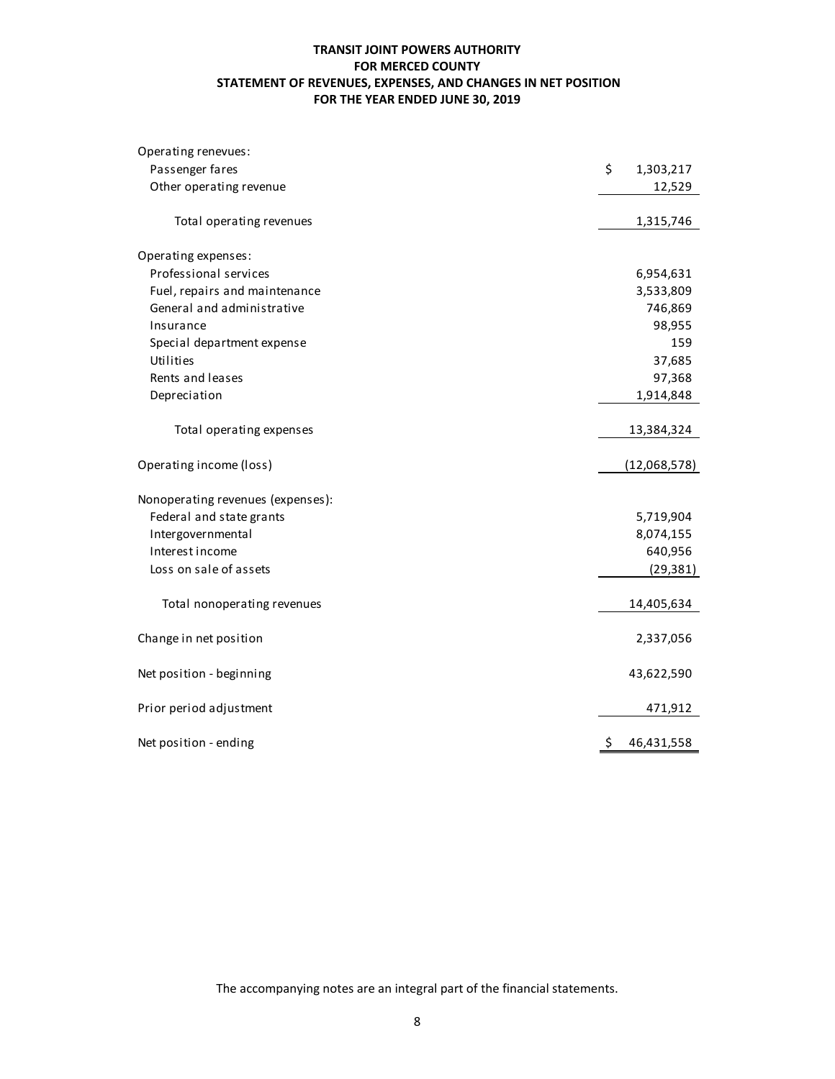# **TRANSIT JOINT POWERS AUTHORITY FOR MERCED COUNTY STATEMENT OF REVENUES, EXPENSES, AND CHANGES IN NET POSITION FOR THE YEAR ENDED JUNE 30, 2019**

| Operating renevues:               |                  |
|-----------------------------------|------------------|
| Passenger fares                   | \$<br>1,303,217  |
| Other operating revenue           | 12,529           |
|                                   |                  |
| Total operating revenues          | 1,315,746        |
|                                   |                  |
| Operating expenses:               |                  |
| Professional services             | 6,954,631        |
| Fuel, repairs and maintenance     | 3,533,809        |
| General and administrative        | 746,869          |
| Insurance                         | 98,955           |
| Special department expense        | 159              |
| Utilities                         | 37,685           |
| Rents and leases                  | 97,368           |
| Depreciation                      | 1,914,848        |
|                                   |                  |
| Total operating expenses          | 13,384,324       |
| Operating income (loss)           | (12,068,578)     |
| Nonoperating revenues (expenses): |                  |
| Federal and state grants          | 5,719,904        |
| Intergovernmental                 | 8,074,155        |
| Interest income                   | 640,956          |
| Loss on sale of assets            | (29, 381)        |
|                                   |                  |
| Total nonoperating revenues       | 14,405,634       |
| Change in net position            | 2,337,056        |
| Net position - beginning          | 43,622,590       |
| Prior period adjustment           | 471,912          |
| Net position - ending             | \$<br>46,431,558 |

The accompanying notes are an integral part of the financial statements.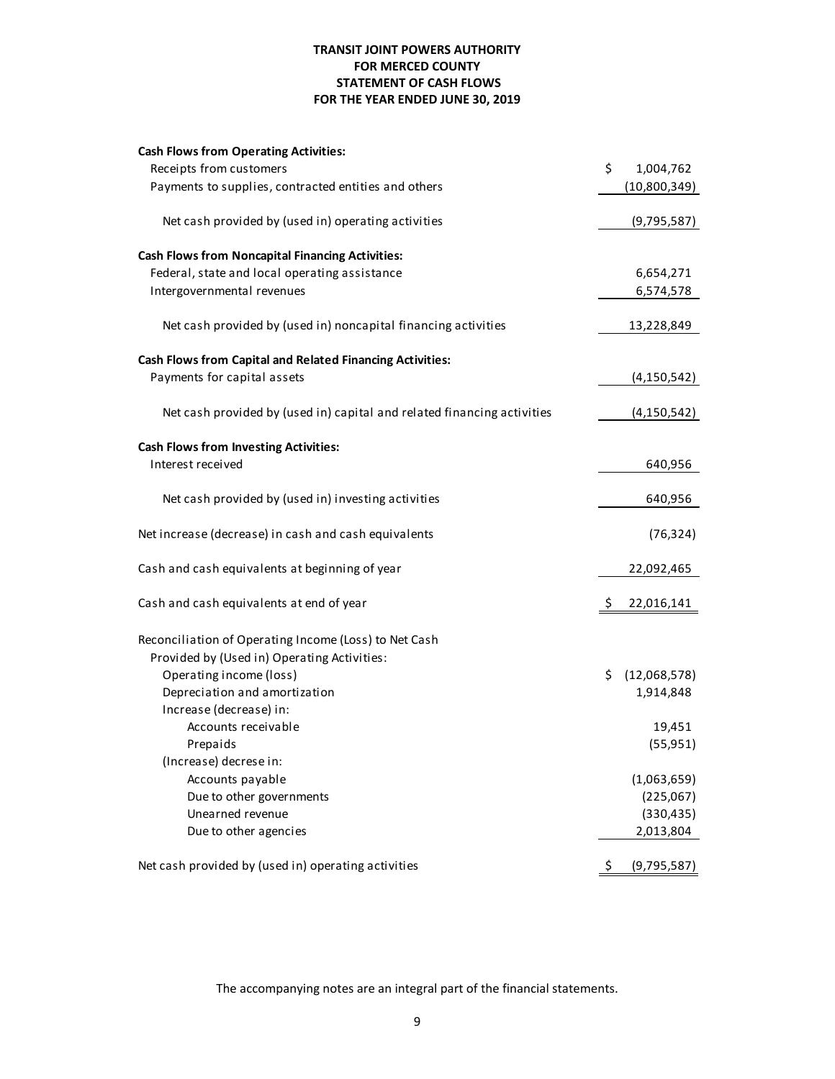# **TRANSIT JOINT POWERS AUTHORITY FOR MERCED COUNTY STATEMENT OF CASH FLOWS FOR THE YEAR ENDED JUNE 30, 2019**

| <b>Cash Flows from Operating Activities:</b>                            |                    |
|-------------------------------------------------------------------------|--------------------|
| Receipts from customers                                                 | \$<br>1,004,762    |
| Payments to supplies, contracted entities and others                    | (10,800,349)       |
| Net cash provided by (used in) operating activities                     | (9,795,587)        |
| <b>Cash Flows from Noncapital Financing Activities:</b>                 |                    |
| Federal, state and local operating assistance                           | 6,654,271          |
| Intergovernmental revenues                                              | 6,574,578          |
| Net cash provided by (used in) noncapital financing activities          | 13,228,849         |
| <b>Cash Flows from Capital and Related Financing Activities:</b>        |                    |
| Payments for capital assets                                             | (4, 150, 542)      |
| Net cash provided by (used in) capital and related financing activities | (4, 150, 542)      |
| <b>Cash Flows from Investing Activities:</b>                            |                    |
| Interest received                                                       | 640,956            |
| Net cash provided by (used in) investing activities                     | 640,956            |
| Net increase (decrease) in cash and cash equivalents                    | (76, 324)          |
| Cash and cash equivalents at beginning of year                          | 22,092,465         |
| Cash and cash equivalents at end of year                                | \$<br>22,016,141   |
| Reconciliation of Operating Income (Loss) to Net Cash                   |                    |
| Provided by (Used in) Operating Activities:                             |                    |
| Operating income (loss)                                                 | \$<br>(12,068,578) |
| Depreciation and amortization                                           | 1,914,848          |
| Increase (decrease) in:                                                 |                    |
| Accounts receivable                                                     | 19,451             |
| Prepaids                                                                | (55, 951)          |
| (Increase) decrese in:                                                  |                    |
| Accounts payable                                                        | (1,063,659)        |
| Due to other governments                                                | (225,067)          |
| Unearned revenue                                                        | (330, 435)         |
| Due to other agencies                                                   | 2,013,804          |
| Net cash provided by (used in) operating activities                     | \$<br>(9,795,587)  |

The accompanying notes are an integral part of the financial statements.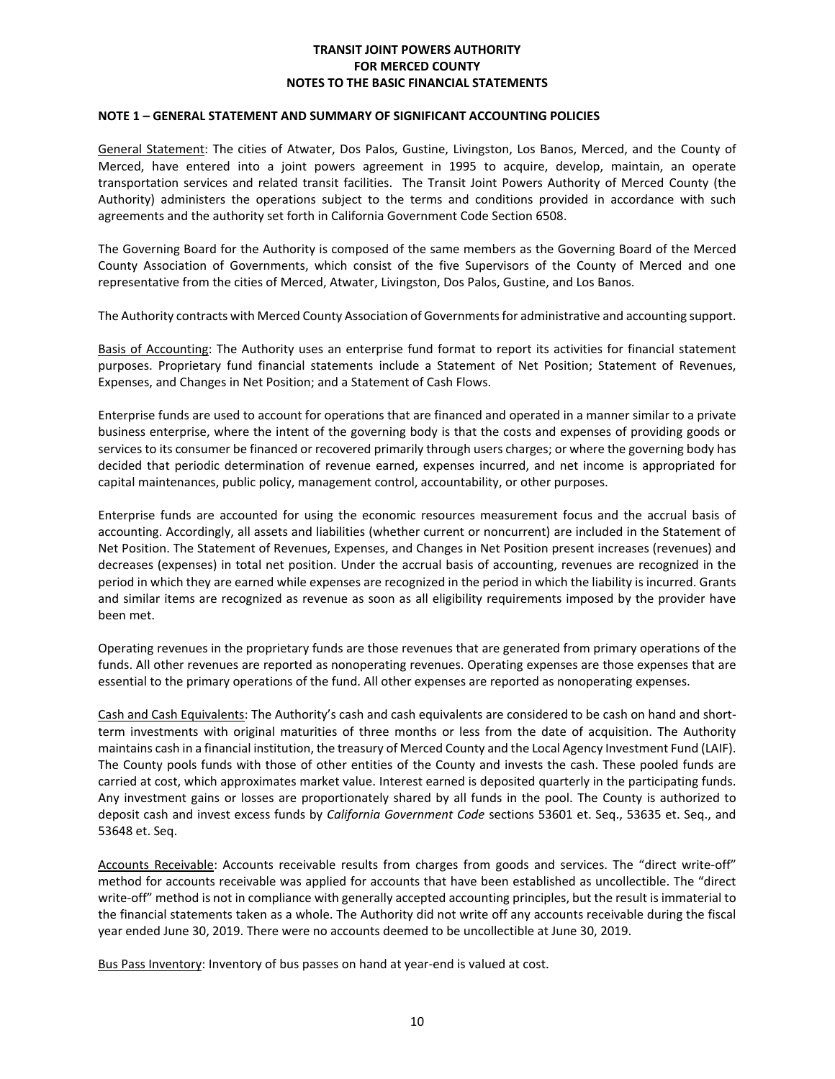## **NOTE 1 – GENERAL STATEMENT AND SUMMARY OF SIGNIFICANT ACCOUNTING POLICIES**

General Statement: The cities of Atwater, Dos Palos, Gustine, Livingston, Los Banos, Merced, and the County of Merced, have entered into a joint powers agreement in 1995 to acquire, develop, maintain, an operate transportation services and related transit facilities. The Transit Joint Powers Authority of Merced County (the Authority) administers the operations subject to the terms and conditions provided in accordance with such agreements and the authority set forth in California Government Code Section 6508.

The Governing Board for the Authority is composed of the same members as the Governing Board of the Merced County Association of Governments, which consist of the five Supervisors of the County of Merced and one representative from the cities of Merced, Atwater, Livingston, Dos Palos, Gustine, and Los Banos.

The Authority contracts with Merced County Association of Governments for administrative and accounting support.

Basis of Accounting: The Authority uses an enterprise fund format to report its activities for financial statement purposes. Proprietary fund financial statements include a Statement of Net Position; Statement of Revenues, Expenses, and Changes in Net Position; and a Statement of Cash Flows.

Enterprise funds are used to account for operations that are financed and operated in a manner similar to a private business enterprise, where the intent of the governing body is that the costs and expenses of providing goods or services to its consumer be financed or recovered primarily through users charges; or where the governing body has decided that periodic determination of revenue earned, expenses incurred, and net income is appropriated for capital maintenances, public policy, management control, accountability, or other purposes.

Enterprise funds are accounted for using the economic resources measurement focus and the accrual basis of accounting. Accordingly, all assets and liabilities (whether current or noncurrent) are included in the Statement of Net Position. The Statement of Revenues, Expenses, and Changes in Net Position present increases (revenues) and decreases (expenses) in total net position. Under the accrual basis of accounting, revenues are recognized in the period in which they are earned while expenses are recognized in the period in which the liability is incurred. Grants and similar items are recognized as revenue as soon as all eligibility requirements imposed by the provider have been met.

Operating revenues in the proprietary funds are those revenues that are generated from primary operations of the funds. All other revenues are reported as nonoperating revenues. Operating expenses are those expenses that are essential to the primary operations of the fund. All other expenses are reported as nonoperating expenses.

Cash and Cash Equivalents: The Authority's cash and cash equivalents are considered to be cash on hand and shortterm investments with original maturities of three months or less from the date of acquisition. The Authority maintains cash in a financial institution, the treasury of Merced County and the Local Agency Investment Fund (LAIF). The County pools funds with those of other entities of the County and invests the cash. These pooled funds are carried at cost, which approximates market value. Interest earned is deposited quarterly in the participating funds. Any investment gains or losses are proportionately shared by all funds in the pool. The County is authorized to deposit cash and invest excess funds by *California Government Code* sections 53601 et. Seq., 53635 et. Seq., and 53648 et. Seq.

Accounts Receivable: Accounts receivable results from charges from goods and services. The "direct write-off" method for accounts receivable was applied for accounts that have been established as uncollectible. The "direct write-off" method is not in compliance with generally accepted accounting principles, but the result is immaterial to the financial statements taken as a whole. The Authority did not write off any accounts receivable during the fiscal year ended June 30, 2019. There were no accounts deemed to be uncollectible at June 30, 2019.

Bus Pass Inventory: Inventory of bus passes on hand at year-end is valued at cost.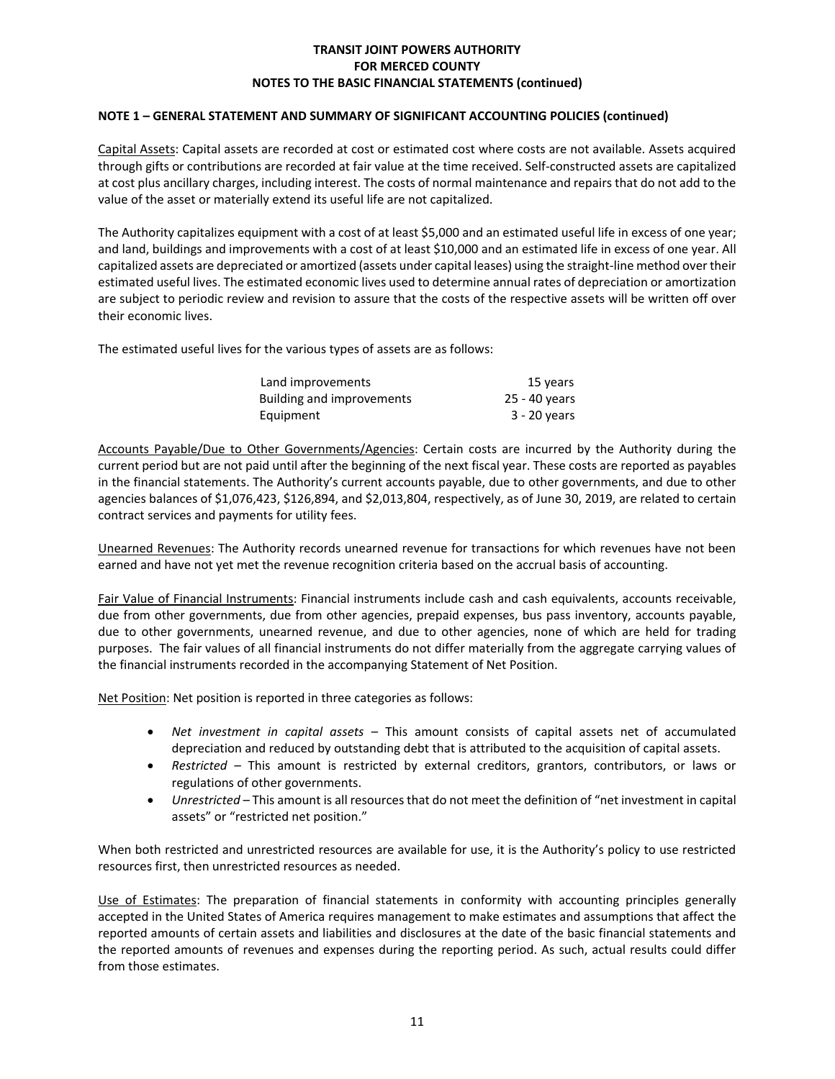## **NOTE 1 – GENERAL STATEMENT AND SUMMARY OF SIGNIFICANT ACCOUNTING POLICIES (continued)**

Capital Assets: Capital assets are recorded at cost or estimated cost where costs are not available. Assets acquired through gifts or contributions are recorded at fair value at the time received. Self-constructed assets are capitalized at cost plus ancillary charges, including interest. The costs of normal maintenance and repairs that do not add to the value of the asset or materially extend its useful life are not capitalized.

The Authority capitalizes equipment with a cost of at least \$5,000 and an estimated useful life in excess of one year; and land, buildings and improvements with a cost of at least \$10,000 and an estimated life in excess of one year. All capitalized assets are depreciated or amortized (assets under capital leases) using the straight-line method overtheir estimated useful lives. The estimated economic lives used to determine annual rates of depreciation or amortization are subject to periodic review and revision to assure that the costs of the respective assets will be written off over their economic lives.

The estimated useful lives for the various types of assets are as follows:

| Land improvements         | 15 years      |
|---------------------------|---------------|
| Building and improvements | 25 - 40 years |
| Equipment                 | 3 - 20 years  |

Accounts Payable/Due to Other Governments/Agencies: Certain costs are incurred by the Authority during the current period but are not paid until after the beginning of the next fiscal year. These costs are reported as payables in the financial statements. The Authority's current accounts payable, due to other governments, and due to other agencies balances of \$1,076,423, \$126,894, and \$2,013,804, respectively, as of June 30, 2019, are related to certain contract services and payments for utility fees.

Unearned Revenues: The Authority records unearned revenue for transactions for which revenues have not been earned and have not yet met the revenue recognition criteria based on the accrual basis of accounting.

Fair Value of Financial Instruments: Financial instruments include cash and cash equivalents, accounts receivable, due from other governments, due from other agencies, prepaid expenses, bus pass inventory, accounts payable, due to other governments, unearned revenue, and due to other agencies, none of which are held for trading purposes. The fair values of all financial instruments do not differ materially from the aggregate carrying values of the financial instruments recorded in the accompanying Statement of Net Position.

Net Position: Net position is reported in three categories as follows:

- *Net investment in capital assets –* This amount consists of capital assets net of accumulated depreciation and reduced by outstanding debt that is attributed to the acquisition of capital assets.
- *Restricted –* This amount is restricted by external creditors, grantors, contributors, or laws or regulations of other governments.
- *Unrestricted*  This amount is all resources that do not meet the definition of "net investment in capital assets" or "restricted net position."

When both restricted and unrestricted resources are available for use, it is the Authority's policy to use restricted resources first, then unrestricted resources as needed.

Use of Estimates: The preparation of financial statements in conformity with accounting principles generally accepted in the United States of America requires management to make estimates and assumptions that affect the reported amounts of certain assets and liabilities and disclosures at the date of the basic financial statements and the reported amounts of revenues and expenses during the reporting period. As such, actual results could differ from those estimates.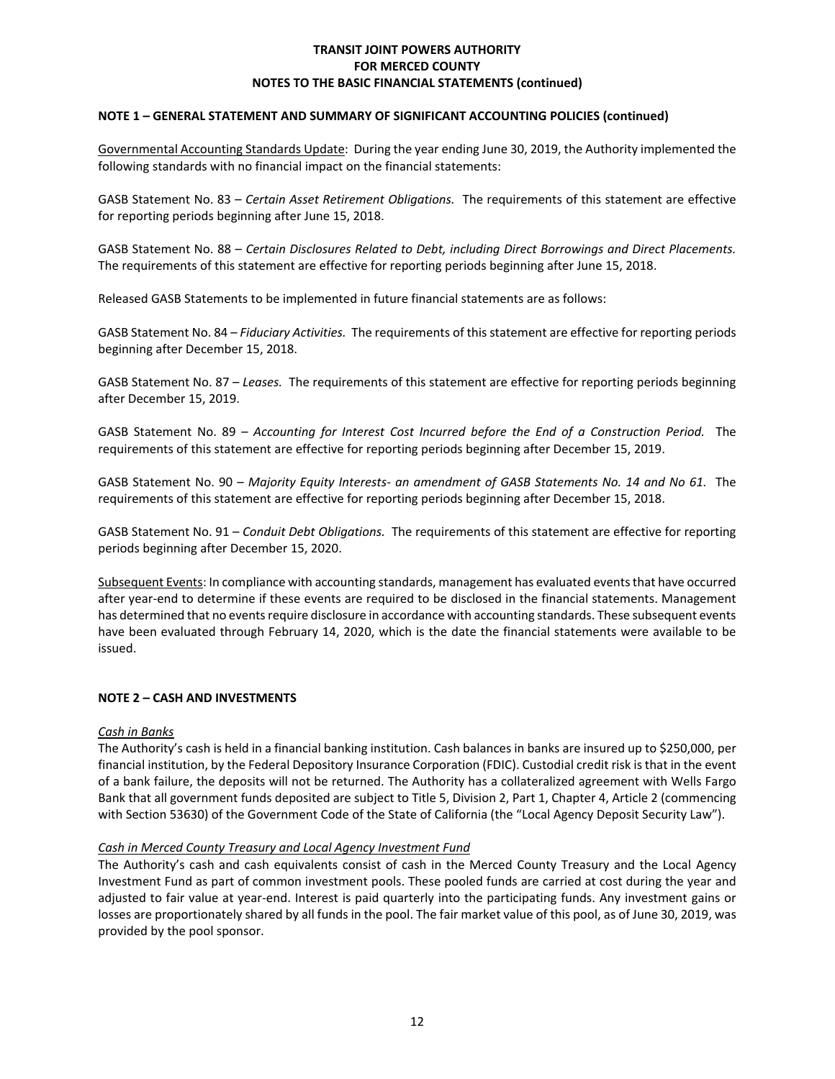### **NOTE 1 – GENERAL STATEMENT AND SUMMARY OF SIGNIFICANT ACCOUNTING POLICIES (continued)**

Governmental Accounting Standards Update: During the year ending June 30, 2019, the Authority implemented the following standards with no financial impact on the financial statements:

GASB Statement No. 83 – *Certain Asset Retirement Obligations.* The requirements of this statement are effective for reporting periods beginning after June 15, 2018.

GASB Statement No. 88 – *Certain Disclosures Related to Debt, including Direct Borrowings and Direct Placements.*  The requirements of this statement are effective for reporting periods beginning after June 15, 2018.

Released GASB Statements to be implemented in future financial statements are as follows:

GASB Statement No. 84 – *Fiduciary Activities.* The requirements of this statement are effective for reporting periods beginning after December 15, 2018.

GASB Statement No. 87 – *Leases.* The requirements of this statement are effective for reporting periods beginning after December 15, 2019.

GASB Statement No. 89 – *Accounting for Interest Cost Incurred before the End of a Construction Period.* The requirements of this statement are effective for reporting periods beginning after December 15, 2019.

GASB Statement No. 90 – *Majority Equity Interests- an amendment of GASB Statements No. 14 and No 61.* The requirements of this statement are effective for reporting periods beginning after December 15, 2018.

GASB Statement No. 91 – *Conduit Debt Obligations.* The requirements of this statement are effective for reporting periods beginning after December 15, 2020.

Subsequent Events: In compliance with accounting standards, management has evaluated events that have occurred after year-end to determine if these events are required to be disclosed in the financial statements. Management has determined that no events require disclosure in accordance with accounting standards. These subsequent events have been evaluated through February 14, 2020, which is the date the financial statements were available to be issued.

## **NOTE 2 – CASH AND INVESTMENTS**

# *Cash in Banks*

The Authority's cash is held in a financial banking institution. Cash balances in banks are insured up to \$250,000, per financial institution, by the Federal Depository Insurance Corporation (FDIC). Custodial credit risk is that in the event of a bank failure, the deposits will not be returned. The Authority has a collateralized agreement with Wells Fargo Bank that all government funds deposited are subject to Title 5, Division 2, Part 1, Chapter 4, Article 2 (commencing with Section 53630) of the Government Code of the State of California (the "Local Agency Deposit Security Law").

#### *Cash in Merced County Treasury and Local Agency Investment Fund*

The Authority's cash and cash equivalents consist of cash in the Merced County Treasury and the Local Agency Investment Fund as part of common investment pools. These pooled funds are carried at cost during the year and adjusted to fair value at year-end. Interest is paid quarterly into the participating funds. Any investment gains or losses are proportionately shared by all funds in the pool. The fair market value of this pool, as of June 30, 2019, was provided by the pool sponsor.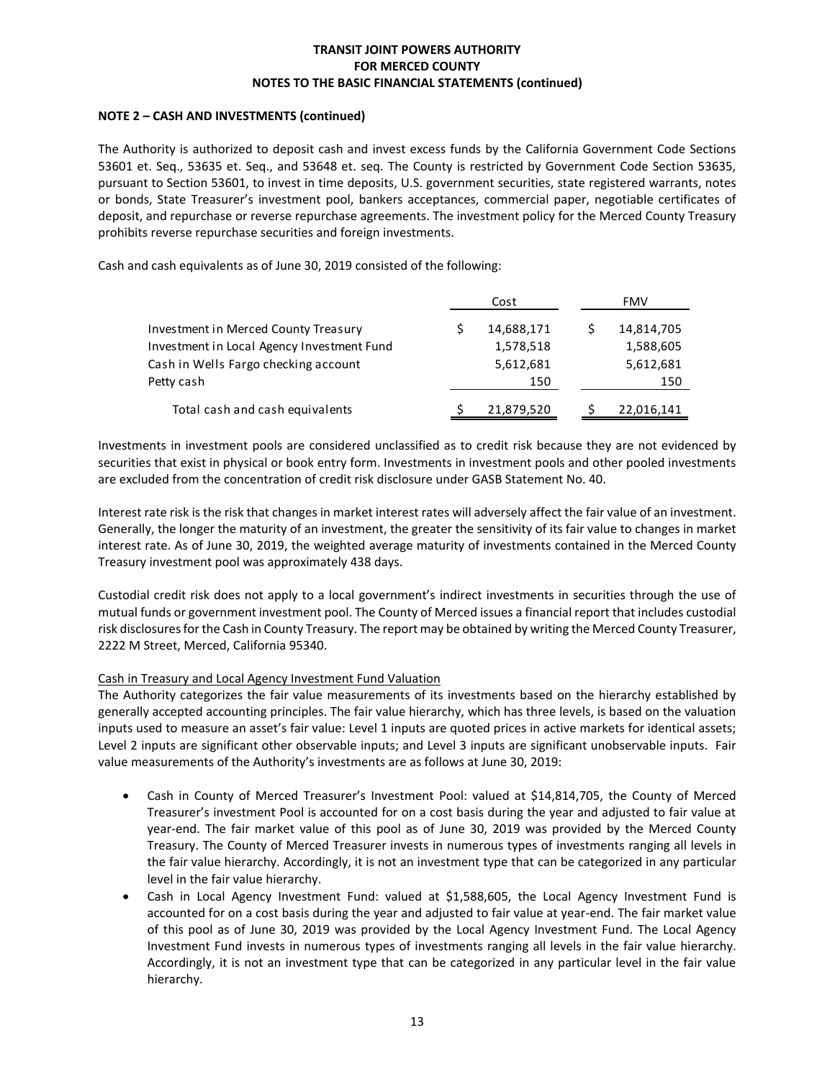## **NOTE 2 – CASH AND INVESTMENTS (continued)**

The Authority is authorized to deposit cash and invest excess funds by the California Government Code Sections 53601 et. Seq., 53635 et. Seq., and 53648 et. seq. The County is restricted by Government Code Section 53635, pursuant to Section 53601, to invest in time deposits, U.S. government securities, state registered warrants, notes or bonds, State Treasurer's investment pool, bankers acceptances, commercial paper, negotiable certificates of deposit, and repurchase or reverse repurchase agreements. The investment policy for the Merced County Treasury prohibits reverse repurchase securities and foreign investments.

Cash and cash equivalents as of June 30, 2019 consisted of the following:

|                                            | Cost       | <b>FMV</b> |
|--------------------------------------------|------------|------------|
| Investment in Merced County Treasury       | 14,688,171 | 14,814,705 |
| Investment in Local Agency Investment Fund | 1,578,518  | 1,588,605  |
| Cash in Wells Fargo checking account       | 5,612,681  | 5,612,681  |
| Petty cash                                 | 150        | 150        |
| Total cash and cash equivalents            | 21,879,520 | 22,016,141 |

Investments in investment pools are considered unclassified as to credit risk because they are not evidenced by securities that exist in physical or book entry form. Investments in investment pools and other pooled investments are excluded from the concentration of credit risk disclosure under GASB Statement No. 40.

Interest rate risk is the risk that changes in market interest rates will adversely affect the fair value of an investment. Generally, the longer the maturity of an investment, the greater the sensitivity of its fair value to changes in market interest rate. As of June 30, 2019, the weighted average maturity of investments contained in the Merced County Treasury investment pool was approximately 438 days.

Custodial credit risk does not apply to a local government's indirect investments in securities through the use of mutual funds or government investment pool. The County of Merced issues a financial report that includes custodial risk disclosures for the Cash in County Treasury. The report may be obtained by writing the Merced County Treasurer, 2222 M Street, Merced, California 95340.

## Cash in Treasury and Local Agency Investment Fund Valuation

The Authority categorizes the fair value measurements of its investments based on the hierarchy established by generally accepted accounting principles. The fair value hierarchy, which has three levels, is based on the valuation inputs used to measure an asset's fair value: Level 1 inputs are quoted prices in active markets for identical assets; Level 2 inputs are significant other observable inputs; and Level 3 inputs are significant unobservable inputs. Fair value measurements of the Authority's investments are as follows at June 30, 2019:

- Cash in County of Merced Treasurer's Investment Pool: valued at \$14,814,705, the County of Merced Treasurer's investment Pool is accounted for on a cost basis during the year and adjusted to fair value at year-end. The fair market value of this pool as of June 30, 2019 was provided by the Merced County Treasury. The County of Merced Treasurer invests in numerous types of investments ranging all levels in the fair value hierarchy. Accordingly, it is not an investment type that can be categorized in any particular level in the fair value hierarchy.
- Cash in Local Agency Investment Fund: valued at \$1,588,605, the Local Agency Investment Fund is accounted for on a cost basis during the year and adjusted to fair value at year-end. The fair market value of this pool as of June 30, 2019 was provided by the Local Agency Investment Fund. The Local Agency Investment Fund invests in numerous types of investments ranging all levels in the fair value hierarchy. Accordingly, it is not an investment type that can be categorized in any particular level in the fair value hierarchy.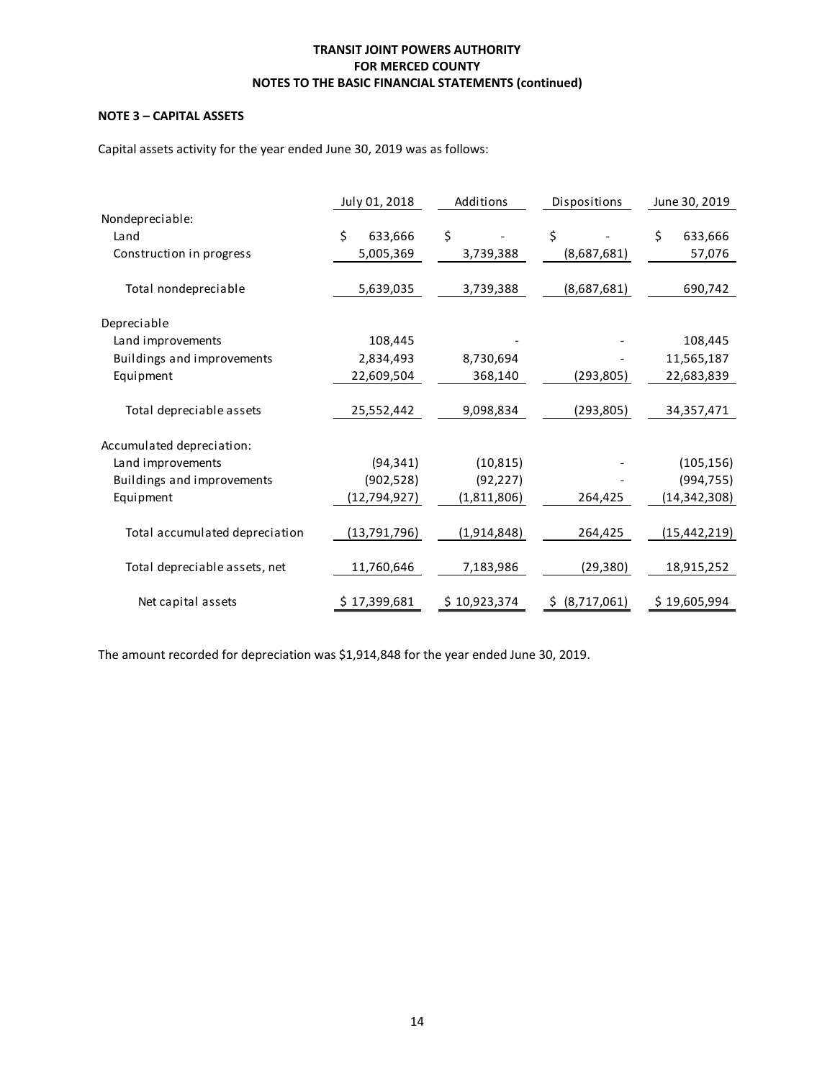# **NOTE 3 – CAPITAL ASSETS**

| Capital assets activity for the year ended June 30, 2019 was as follows: |                |              |                   |                |
|--------------------------------------------------------------------------|----------------|--------------|-------------------|----------------|
|                                                                          | July 01, 2018  | Additions    | Dispositions      | June 30, 2019  |
| Nondepreciable:                                                          |                |              |                   |                |
| Land                                                                     | \$<br>633,666  | \$           | \$                | \$<br>633,666  |
| Construction in progress                                                 | 5,005,369      | 3,739,388    | (8,687,681)       | 57,076         |
| Total nondepreciable                                                     | 5,639,035      | 3,739,388    | (8,687,681)       | 690,742        |
| Depreciable                                                              |                |              |                   |                |
| Land improvements                                                        | 108,445        |              |                   | 108,445        |
| Buildings and improvements                                               | 2,834,493      | 8,730,694    |                   | 11,565,187     |
| Equipment                                                                | 22,609,504     | 368,140      | (293, 805)        | 22,683,839     |
| Total depreciable assets                                                 | 25,552,442     | 9,098,834    | (293, 805)        | 34, 357, 471   |
| Accumulated depreciation:                                                |                |              |                   |                |
| Land improvements                                                        | (94, 341)      | (10, 815)    |                   | (105, 156)     |
| Buildings and improvements                                               | (902, 528)     | (92, 227)    |                   | (994, 755)     |
| Equipment                                                                | (12,794,927)   | (1,811,806)  | 264,425           | (14, 342, 308) |
| Total accumulated depreciation                                           | (13, 791, 796) | (1,914,848)  | 264,425           | (15, 442, 219) |
| Total depreciable assets, net                                            | 11,760,646     | 7,183,986    | (29, 380)         | 18,915,252     |
| Net capital assets                                                       | \$17,399,681   | \$10,923,374 | (8,717,061)<br>\$ | \$19,605,994   |

The amount recorded for depreciation was \$1,914,848 for the year ended June 30, 2019.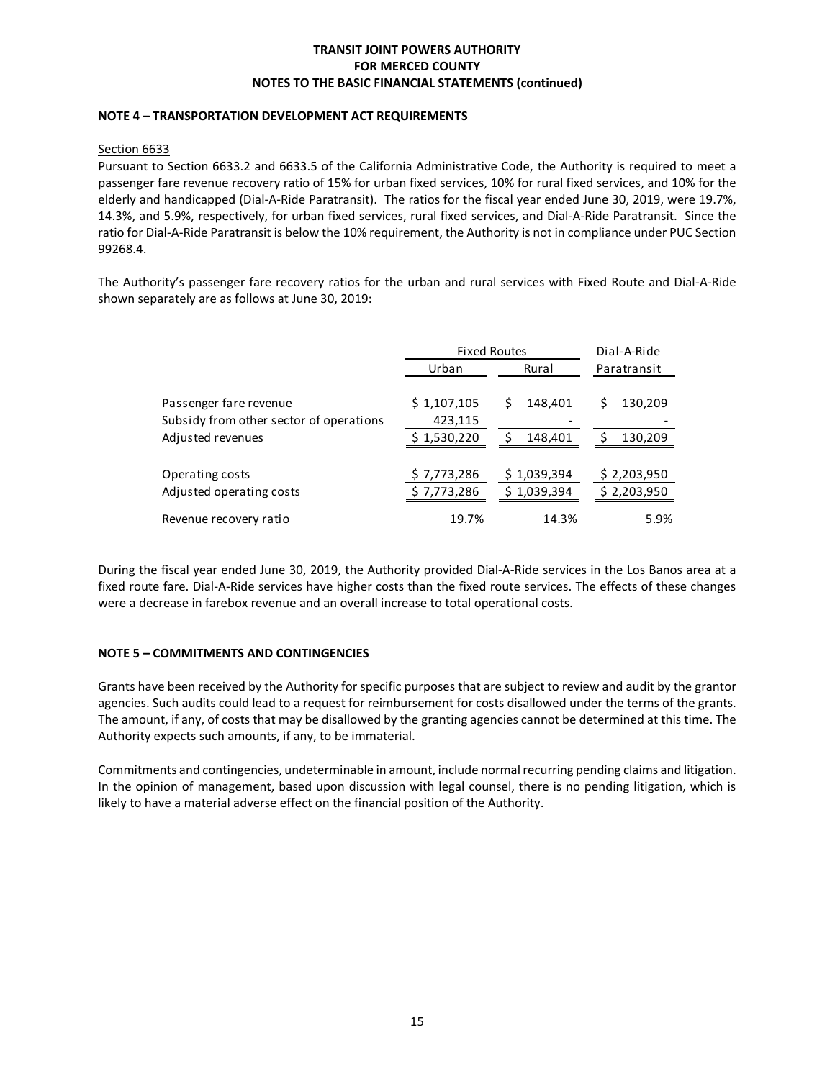## **NOTE 4 – TRANSPORTATION DEVELOPMENT ACT REQUIREMENTS**

#### Section 6633

Pursuant to Section 6633.2 and 6633.5 of the California Administrative Code, the Authority is required to meet a passenger fare revenue recovery ratio of 15% for urban fixed services, 10% for rural fixed services, and 10% for the elderly and handicapped (Dial-A-Ride Paratransit). The ratios for the fiscal year ended June 30, 2019, were 19.7%, 14.3%, and 5.9%, respectively, for urban fixed services, rural fixed services, and Dial-A-Ride Paratransit. Since the ratio for Dial-A-Ride Paratransit is below the 10% requirement, the Authority is not in compliance under PUC Section 99268.4.

The Authority's passenger fare recovery ratios for the urban and rural services with Fixed Route and Dial-A-Ride shown separately are as follows at June 30, 2019:

|                                       | <b>Fixed Routes</b>                 |                                    |  |
|---------------------------------------|-------------------------------------|------------------------------------|--|
| Urban                                 | Rural                               | Paratransit                        |  |
| \$1,107,105<br>423,115<br>\$1,530,220 | Ś<br>148,401<br>Ś.<br>148,401       | \$<br>130,209<br>Ś.<br>130,209     |  |
| \$7,773,286<br>\$7,773,286<br>19.7%   | \$1,039,394<br>\$1,039,394<br>14.3% | \$2,203,950<br>\$2,203,950<br>5.9% |  |
|                                       |                                     |                                    |  |

During the fiscal year ended June 30, 2019, the Authority provided Dial-A-Ride services in the Los Banos area at a fixed route fare. Dial-A-Ride services have higher costs than the fixed route services. The effects of these changes were a decrease in farebox revenue and an overall increase to total operational costs.

## **NOTE 5 – COMMITMENTS AND CONTINGENCIES**

Grants have been received by the Authority for specific purposes that are subject to review and audit by the grantor agencies. Such audits could lead to a request for reimbursement for costs disallowed under the terms of the grants. The amount, if any, of costs that may be disallowed by the granting agencies cannot be determined at this time. The Authority expects such amounts, if any, to be immaterial.

Commitments and contingencies, undeterminable in amount, include normal recurring pending claims and litigation. In the opinion of management, based upon discussion with legal counsel, there is no pending litigation, which is likely to have a material adverse effect on the financial position of the Authority.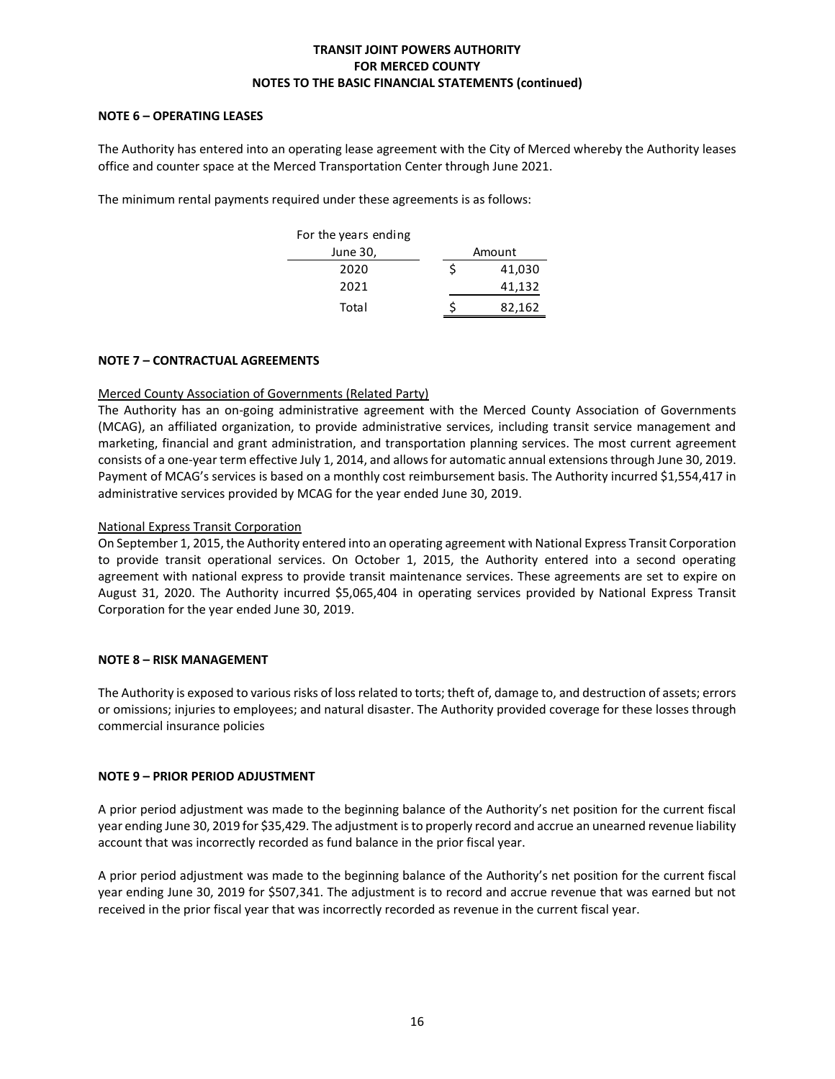### **NOTE 6 – OPERATING LEASES**

The Authority has entered into an operating lease agreement with the City of Merced whereby the Authority leases office and counter space at the Merced Transportation Center through June 2021.

The minimum rental payments required under these agreements is as follows:

| For the years ending |   |        |
|----------------------|---|--------|
| June 30,             |   | Amount |
| 2020                 | Ś | 41,030 |
| 2021                 |   | 41,132 |
| Total                |   | 82,162 |

### **NOTE 7 – CONTRACTUAL AGREEMENTS**

#### Merced County Association of Governments (Related Party)

The Authority has an on-going administrative agreement with the Merced County Association of Governments (MCAG), an affiliated organization, to provide administrative services, including transit service management and marketing, financial and grant administration, and transportation planning services. The most current agreement consists of a one-year term effective July 1, 2014, and allows for automatic annual extensions through June 30, 2019. Payment of MCAG's services is based on a monthly cost reimbursement basis. The Authority incurred \$1,554,417 in administrative services provided by MCAG for the year ended June 30, 2019.

### National Express Transit Corporation

On September 1, 2015, the Authority entered into an operating agreement with National Express Transit Corporation to provide transit operational services. On October 1, 2015, the Authority entered into a second operating agreement with national express to provide transit maintenance services. These agreements are set to expire on August 31, 2020. The Authority incurred \$5,065,404 in operating services provided by National Express Transit Corporation for the year ended June 30, 2019.

#### **NOTE 8 – RISK MANAGEMENT**

The Authority is exposed to various risks of loss related to torts; theft of, damage to, and destruction of assets; errors or omissions; injuries to employees; and natural disaster. The Authority provided coverage for these losses through commercial insurance policies

#### **NOTE 9 – PRIOR PERIOD ADJUSTMENT**

A prior period adjustment was made to the beginning balance of the Authority's net position for the current fiscal year ending June 30, 2019 for \$35,429. The adjustment isto properly record and accrue an unearned revenue liability account that was incorrectly recorded as fund balance in the prior fiscal year.

A prior period adjustment was made to the beginning balance of the Authority's net position for the current fiscal year ending June 30, 2019 for \$507,341. The adjustment is to record and accrue revenue that was earned but not received in the prior fiscal year that was incorrectly recorded as revenue in the current fiscal year.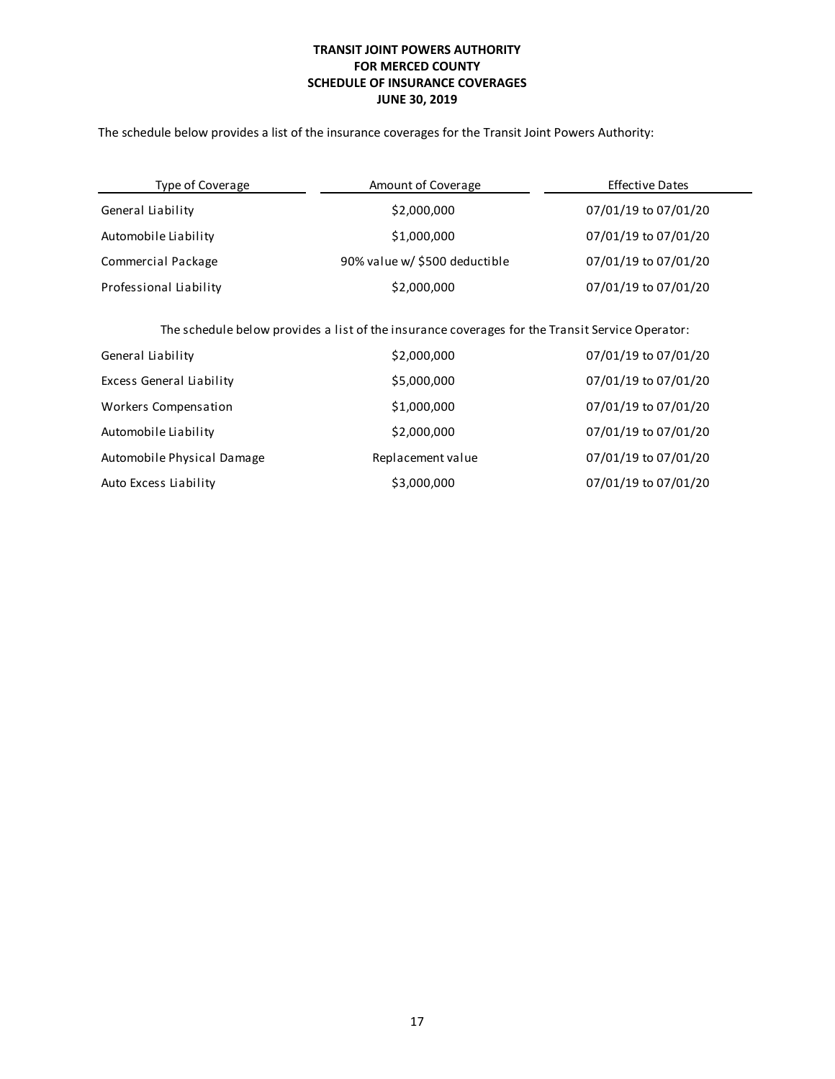# **TRANSIT JOINT POWERS AUTHORITY FOR MERCED COUNTY SCHEDULE OF INSURANCE COVERAGES JUNE 30, 2019**

The schedule below provides a list of the insurance coverages for the Transit Joint Powers Authority:

| Type of Coverage       | Amount of Coverage            | <b>Effective Dates</b> |  |  |
|------------------------|-------------------------------|------------------------|--|--|
| General Liability      | \$2,000,000                   | 07/01/19 to 07/01/20   |  |  |
| Automobile Liability   | \$1,000,000                   | 07/01/19 to 07/01/20   |  |  |
| Commercial Package     | 90% value w/ \$500 deductible | 07/01/19 to 07/01/20   |  |  |
| Professional Liability | \$2,000,000                   | 07/01/19 to 07/01/20   |  |  |

The schedule below provides a list of the insurance coverages for the Transit Service Operator:

| General Liability          | \$2,000,000       | 07/01/19 to 07/01/20 |
|----------------------------|-------------------|----------------------|
| Excess General Liability   | \$5,000,000       | 07/01/19 to 07/01/20 |
| Workers Compensation       | \$1,000,000       | 07/01/19 to 07/01/20 |
| Automobile Liability       | \$2,000,000       | 07/01/19 to 07/01/20 |
| Automobile Physical Damage | Replacement value | 07/01/19 to 07/01/20 |
| Auto Excess Liability      | \$3,000,000       | 07/01/19 to 07/01/20 |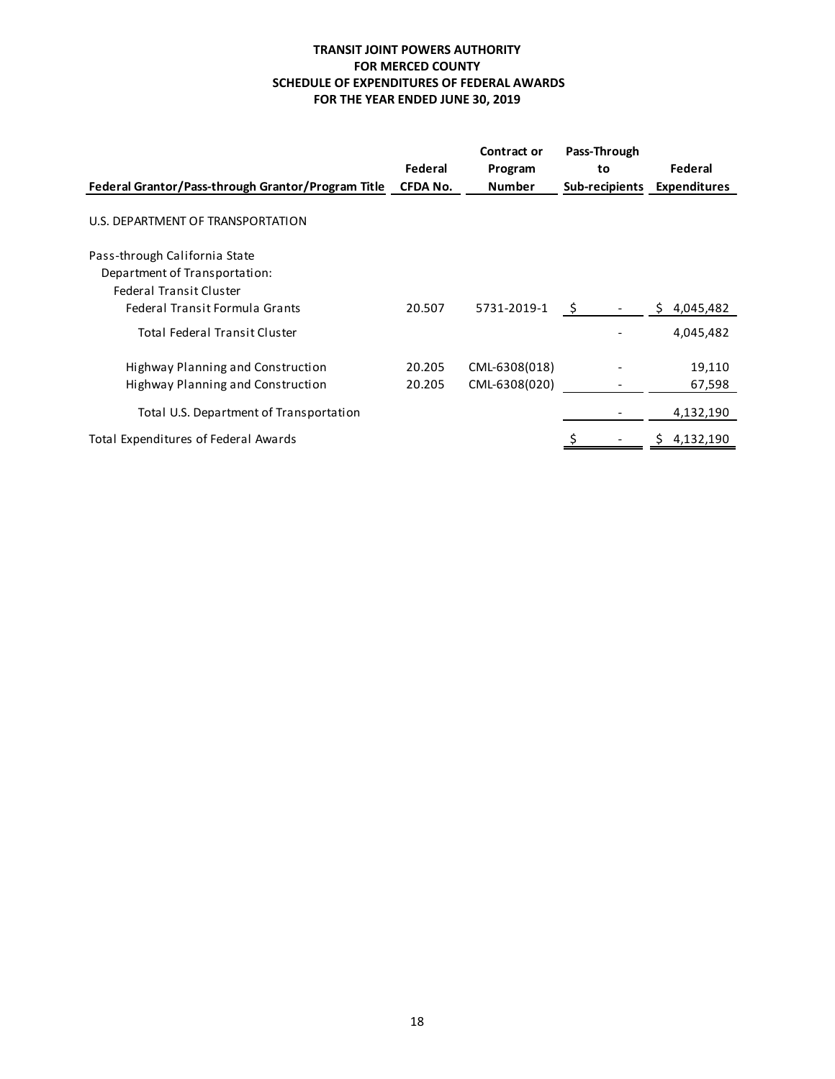# **TRANSIT JOINT POWERS AUTHORITY FOR MERCED COUNTY SCHEDULE OF EXPENDITURES OF FEDERAL AWARDS FOR THE YEAR ENDED JUNE 30, 2019**

| FOR THE YEAR ENDED JUNE 30, 2019                                                                                                   |                            |                                         |               |                                      |                                       |
|------------------------------------------------------------------------------------------------------------------------------------|----------------------------|-----------------------------------------|---------------|--------------------------------------|---------------------------------------|
| Federal Grantor/Pass-through Grantor/Program Title                                                                                 | Federal<br><b>CFDA No.</b> | Contract or<br>Program<br><b>Number</b> |               | Pass-Through<br>to<br>Sub-recipients | <b>Federal</b><br><b>Expenditures</b> |
| U.S. DEPARTMENT OF TRANSPORTATION                                                                                                  |                            |                                         |               |                                      |                                       |
| Pass-through California State<br>Department of Transportation:<br><b>Federal Transit Cluster</b><br>Federal Transit Formula Grants | 20.507                     | 5731-2019-1                             | $\frac{5}{2}$ |                                      | 4,045,482<br>S.                       |
| <b>Total Federal Transit Cluster</b>                                                                                               |                            |                                         |               |                                      | 4,045,482                             |
| Highway Planning and Construction<br>Highway Planning and Construction                                                             | 20.205<br>20.205           | CML-6308(018)<br>CML-6308(020)          |               |                                      | 19,110<br>67,598                      |
| Total U.S. Department of Transportation                                                                                            |                            |                                         |               |                                      | 4,132,190                             |
| Total Expenditures of Federal Awards                                                                                               |                            |                                         |               |                                      | 4,132,190<br>S                        |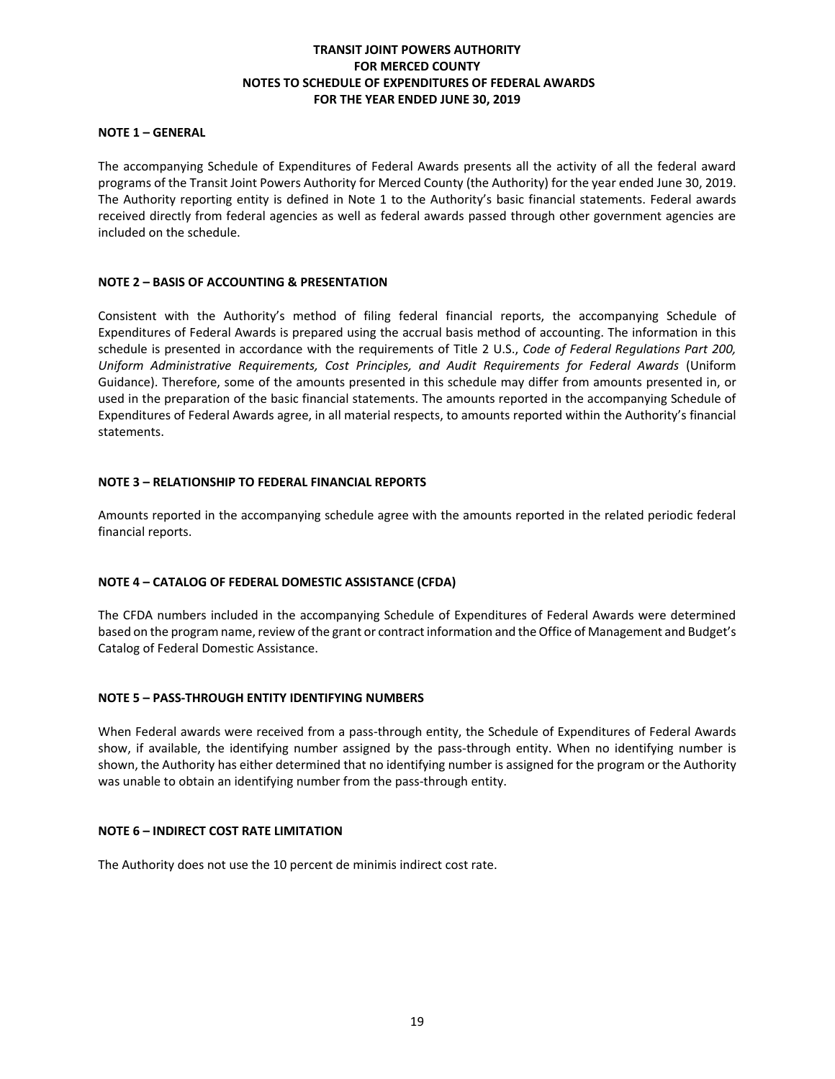# **TRANSIT JOINT POWERS AUTHORITY FOR MERCED COUNTY NOTES TO SCHEDULE OF EXPENDITURES OF FEDERAL AWARDS FOR THE YEAR ENDED JUNE 30, 2019**

### **NOTE 1 – GENERAL**

The accompanying Schedule of Expenditures of Federal Awards presents all the activity of all the federal award programs of the Transit Joint Powers Authority for Merced County (the Authority) for the year ended June 30, 2019. The Authority reporting entity is defined in Note 1 to the Authority's basic financial statements. Federal awards received directly from federal agencies as well as federal awards passed through other government agencies are included on the schedule.

## **NOTE 2 – BASIS OF ACCOUNTING & PRESENTATION**

Consistent with the Authority's method of filing federal financial reports, the accompanying Schedule of Expenditures of Federal Awards is prepared using the accrual basis method of accounting. The information in this schedule is presented in accordance with the requirements of Title 2 U.S., *Code of Federal Regulations Part 200, Uniform Administrative Requirements, Cost Principles, and Audit Requirements for Federal Awards* (Uniform Guidance). Therefore, some of the amounts presented in this schedule may differ from amounts presented in, or used in the preparation of the basic financial statements. The amounts reported in the accompanying Schedule of Expenditures of Federal Awards agree, in all material respects, to amounts reported within the Authority's financial statements.

### **NOTE 3 – RELATIONSHIP TO FEDERAL FINANCIAL REPORTS**

Amounts reported in the accompanying schedule agree with the amounts reported in the related periodic federal financial reports.

## **NOTE 4 – CATALOG OF FEDERAL DOMESTIC ASSISTANCE (CFDA)**

The CFDA numbers included in the accompanying Schedule of Expenditures of Federal Awards were determined based on the program name, review of the grant or contract information and the Office of Management and Budget's Catalog of Federal Domestic Assistance.

#### **NOTE 5 – PASS-THROUGH ENTITY IDENTIFYING NUMBERS**

When Federal awards were received from a pass-through entity, the Schedule of Expenditures of Federal Awards show, if available, the identifying number assigned by the pass-through entity. When no identifying number is shown, the Authority has either determined that no identifying number is assigned for the program or the Authority was unable to obtain an identifying number from the pass-through entity.

### **NOTE 6 – INDIRECT COST RATE LIMITATION**

The Authority does not use the 10 percent de minimis indirect cost rate.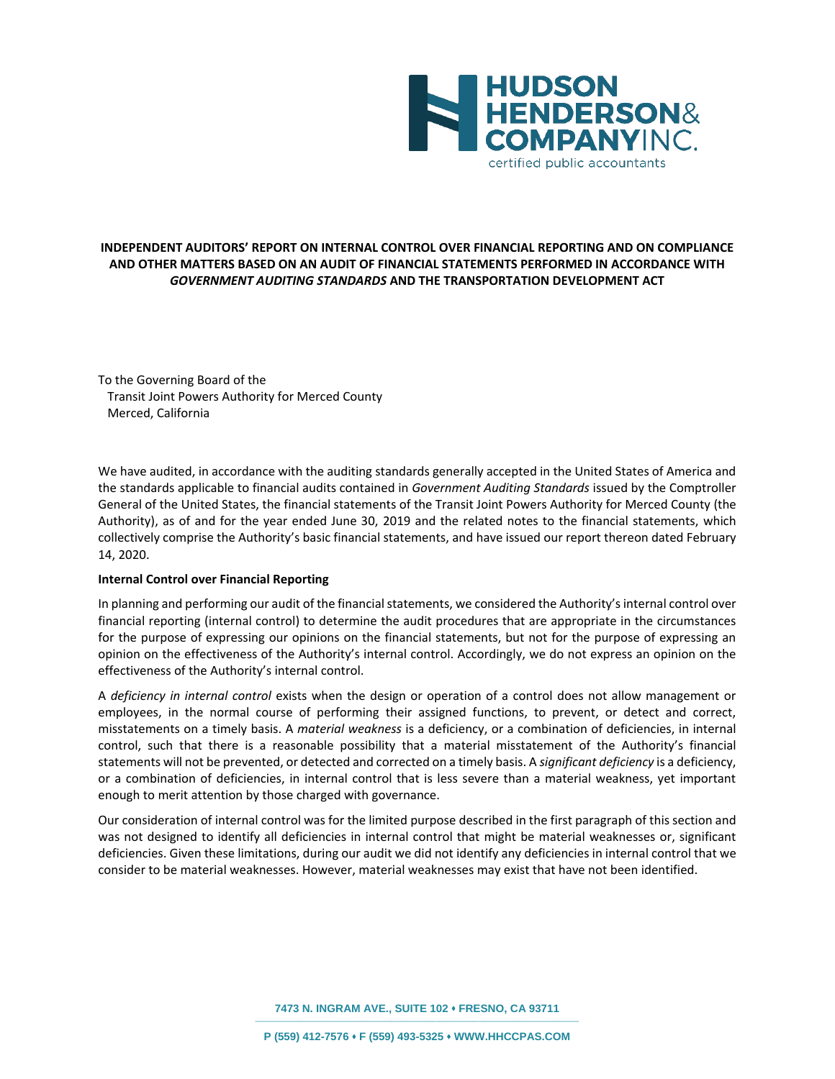

## **INDEPENDENT AUDITORS' REPORT ON INTERNAL CONTROL OVER FINANCIAL REPORTING AND ON COMPLIANCE AND OTHER MATTERS BASED ON AN AUDIT OF FINANCIAL STATEMENTS PERFORMED IN ACCORDANCE WITH**  *GOVERNMENT AUDITING STANDARDS* **AND THE TRANSPORTATION DEVELOPMENT ACT**

To the Governing Board of the Transit Joint Powers Authority for Merced County Merced, California

We have audited, in accordance with the auditing standards generally accepted in the United States of America and the standards applicable to financial audits contained in *Government Auditing Standards* issued by the Comptroller General of the United States, the financial statements of the Transit Joint Powers Authority for Merced County (the Authority), as of and for the year ended June 30, 2019 and the related notes to the financial statements, which collectively comprise the Authority's basic financial statements, and have issued our report thereon dated February 14, 2020.

#### **Internal Control over Financial Reporting**

In planning and performing our audit of the financial statements, we considered the Authority's internal control over financial reporting (internal control) to determine the audit procedures that are appropriate in the circumstances for the purpose of expressing our opinions on the financial statements, but not for the purpose of expressing an opinion on the effectiveness of the Authority's internal control. Accordingly, we do not express an opinion on the effectiveness of the Authority's internal control.

A *deficiency in internal control* exists when the design or operation of a control does not allow management or employees, in the normal course of performing their assigned functions, to prevent, or detect and correct, misstatements on a timely basis. A *material weakness* is a deficiency, or a combination of deficiencies, in internal control, such that there is a reasonable possibility that a material misstatement of the Authority's financial statements will not be prevented, or detected and corrected on a timely basis. A *significant deficiency* is a deficiency, or a combination of deficiencies, in internal control that is less severe than a material weakness, yet important enough to merit attention by those charged with governance.

Our consideration of internal control was for the limited purpose described in the first paragraph of this section and was not designed to identify all deficiencies in internal control that might be material weaknesses or, significant deficiencies. Given these limitations, during our audit we did not identify any deficiencies in internal control that we consider to be material weaknesses. However, material weaknesses may exist that have not been identified.

**7473 N. INGRAM AVE., SUITE 102** ⬧ **FRESNO, CA 93711**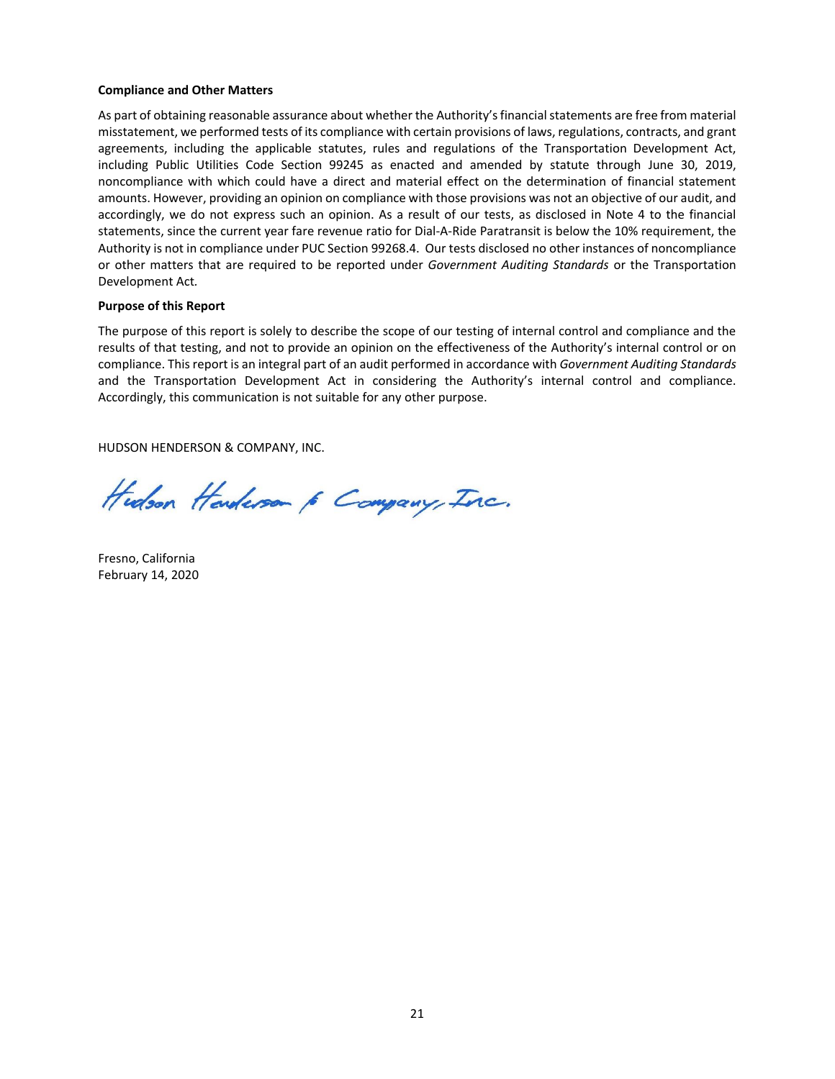#### **Compliance and Other Matters**

As part of obtaining reasonable assurance about whether the Authority's financial statements are free from material misstatement, we performed tests of its compliance with certain provisions of laws, regulations, contracts, and grant agreements, including the applicable statutes, rules and regulations of the Transportation Development Act, including Public Utilities Code Section 99245 as enacted and amended by statute through June 30, 2019, noncompliance with which could have a direct and material effect on the determination of financial statement amounts. However, providing an opinion on compliance with those provisions was not an objective of our audit, and accordingly, we do not express such an opinion. As a result of our tests, as disclosed in Note 4 to the financial statements, since the current year fare revenue ratio for Dial-A-Ride Paratransit is below the 10% requirement, the Authority is not in compliance under PUC Section 99268.4. Our tests disclosed no other instances of noncompliance or other matters that are required to be reported under *Government Auditing Standards* or the Transportation Development Act*.*

#### **Purpose of this Report**

The purpose of this report is solely to describe the scope of our testing of internal control and compliance and the results of that testing, and not to provide an opinion on the effectiveness of the Authority's internal control or on compliance. This report is an integral part of an audit performed in accordance with *Government Auditing Standards*  and the Transportation Development Act in considering the Authority's internal control and compliance. Accordingly, this communication is not suitable for any other purpose.

HUDSON HENDERSON & COMPANY, INC.

Hudson Handerson 6 Campany, Inc.

Fresno, California February 14, 2020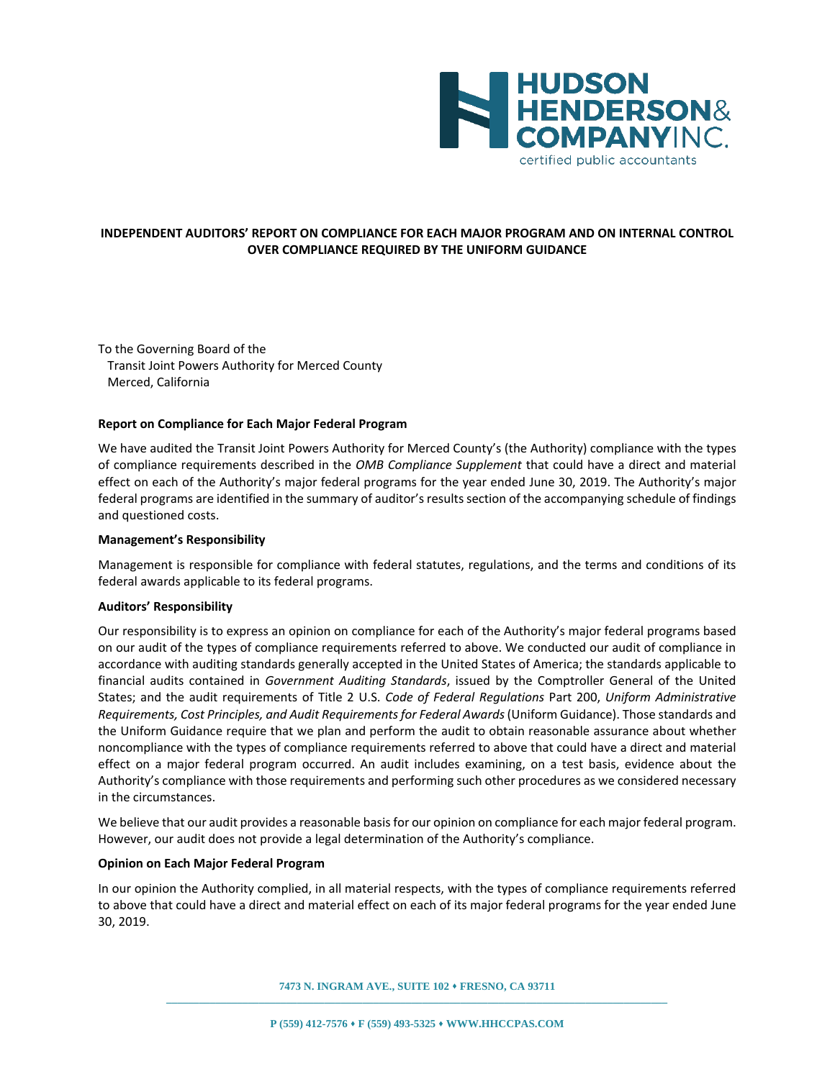

## **INDEPENDENT AUDITORS' REPORT ON COMPLIANCE FOR EACH MAJOR PROGRAM AND ON INTERNAL CONTROL OVER COMPLIANCE REQUIRED BY THE UNIFORM GUIDANCE**

To the Governing Board of the Transit Joint Powers Authority for Merced County Merced, California

#### **Report on Compliance for Each Major Federal Program**

We have audited the Transit Joint Powers Authority for Merced County's (the Authority) compliance with the types of compliance requirements described in the *OMB Compliance Supplement* that could have a direct and material effect on each of the Authority's major federal programs for the year ended June 30, 2019. The Authority's major federal programs are identified in the summary of auditor's results section of the accompanying schedule of findings and questioned costs.

#### **Management's Responsibility**

Management is responsible for compliance with federal statutes, regulations, and the terms and conditions of its federal awards applicable to its federal programs.

#### **Auditors' Responsibility**

Our responsibility is to express an opinion on compliance for each of the Authority's major federal programs based on our audit of the types of compliance requirements referred to above. We conducted our audit of compliance in accordance with auditing standards generally accepted in the United States of America; the standards applicable to financial audits contained in *Government Auditing Standards*, issued by the Comptroller General of the United States; and the audit requirements of Title 2 U.S. *Code of Federal Regulations* Part 200, *Uniform Administrative Requirements, Cost Principles, and Audit Requirements for Federal Awards*(Uniform Guidance). Those standards and the Uniform Guidance require that we plan and perform the audit to obtain reasonable assurance about whether noncompliance with the types of compliance requirements referred to above that could have a direct and material effect on a major federal program occurred. An audit includes examining, on a test basis, evidence about the Authority's compliance with those requirements and performing such other procedures as we considered necessary in the circumstances.

We believe that our audit provides a reasonable basis for our opinion on compliance for each major federal program. However, our audit does not provide a legal determination of the Authority's compliance.

#### **Opinion on Each Major Federal Program**

In our opinion the Authority complied, in all material respects, with the types of compliance requirements referred to above that could have a direct and material effect on each of its major federal programs for the year ended June 30, 2019.

> **7473 N. INGRAM AVE., SUITE 102** ⬧ **FRESNO, CA 93711 \_\_\_\_\_\_\_\_\_\_\_\_\_\_\_\_\_\_\_\_\_\_\_\_\_\_\_\_\_\_\_\_\_\_\_\_\_\_\_\_\_\_\_\_\_\_\_\_\_\_\_\_\_\_\_\_\_\_\_\_\_\_\_\_\_\_\_\_\_\_\_\_\_\_\_\_\_\_\_\_\_\_\_\_\_\_\_\_\_\_\_\_**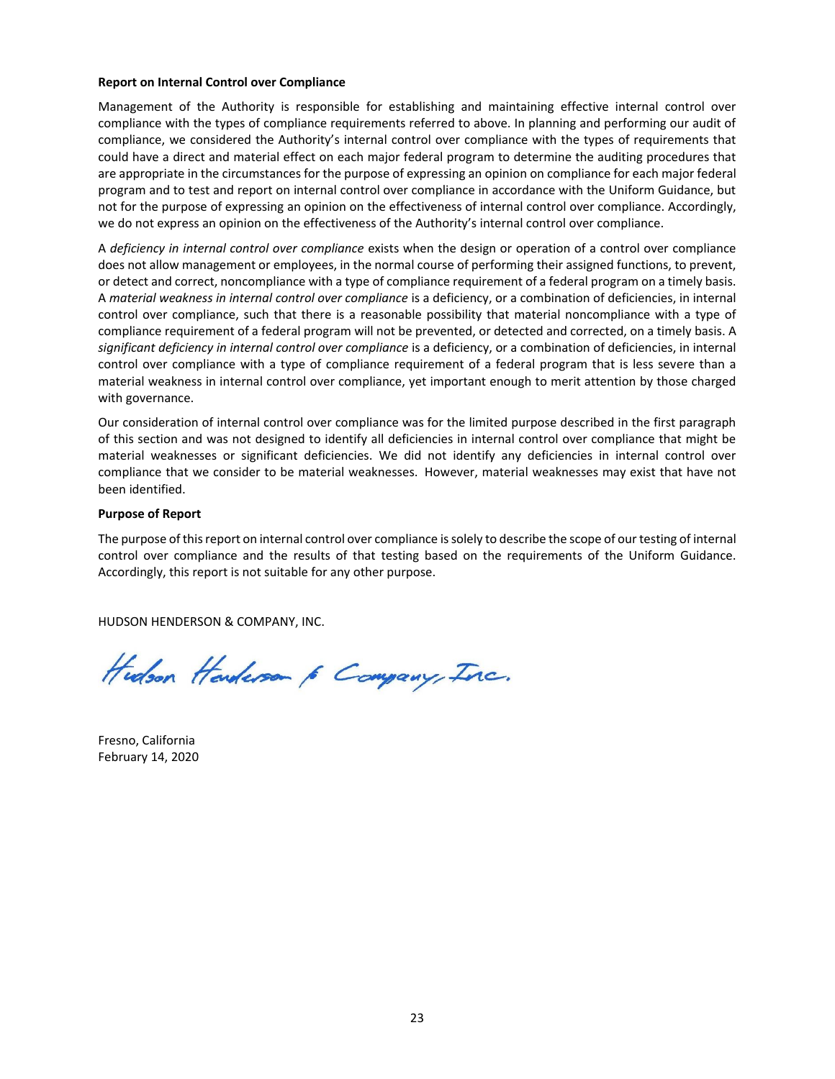#### **Report on Internal Control over Compliance**

Management of the Authority is responsible for establishing and maintaining effective internal control over compliance with the types of compliance requirements referred to above. In planning and performing our audit of compliance, we considered the Authority's internal control over compliance with the types of requirements that could have a direct and material effect on each major federal program to determine the auditing procedures that are appropriate in the circumstances for the purpose of expressing an opinion on compliance for each major federal program and to test and report on internal control over compliance in accordance with the Uniform Guidance, but not for the purpose of expressing an opinion on the effectiveness of internal control over compliance. Accordingly, we do not express an opinion on the effectiveness of the Authority's internal control over compliance.

A *deficiency in internal control over compliance* exists when the design or operation of a control over compliance does not allow management or employees, in the normal course of performing their assigned functions, to prevent, or detect and correct, noncompliance with a type of compliance requirement of a federal program on a timely basis. A *material weakness in internal control over compliance* is a deficiency, or a combination of deficiencies, in internal control over compliance, such that there is a reasonable possibility that material noncompliance with a type of compliance requirement of a federal program will not be prevented, or detected and corrected, on a timely basis. A *significant deficiency in internal control over compliance* is a deficiency, or a combination of deficiencies, in internal control over compliance with a type of compliance requirement of a federal program that is less severe than a material weakness in internal control over compliance, yet important enough to merit attention by those charged with governance.

Our consideration of internal control over compliance was for the limited purpose described in the first paragraph of this section and was not designed to identify all deficiencies in internal control over compliance that might be material weaknesses or significant deficiencies. We did not identify any deficiencies in internal control over compliance that we consider to be material weaknesses. However, material weaknesses may exist that have not been identified.

### **Purpose of Report**

The purpose of this report on internal control over compliance is solely to describe the scope of our testing of internal control over compliance and the results of that testing based on the requirements of the Uniform Guidance. Accordingly, this report is not suitable for any other purpose.

HUDSON HENDERSON & COMPANY, INC.

Hudson Handerson 6 Company, Inc.

Fresno, California February 14, 2020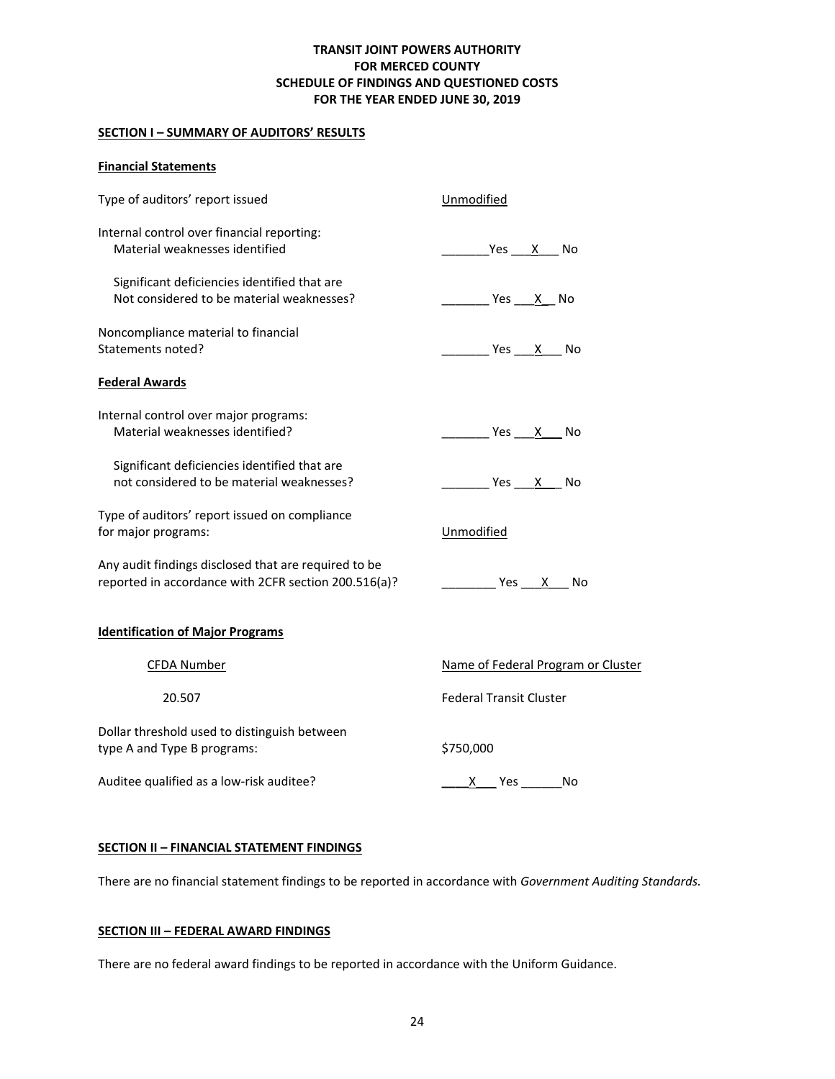## **TRANSIT JOINT POWERS AUTHORITY FOR MERCED COUNTY SCHEDULE OF FINDINGS AND QUESTIONED COSTS FOR THE YEAR ENDED JUNE 30, 2019**

### **SECTION I – SUMMARY OF AUDITORS' RESULTS**

| <b>Financial Statements</b>                                                                                  |                                    |
|--------------------------------------------------------------------------------------------------------------|------------------------------------|
| Type of auditors' report issued                                                                              | Unmodified                         |
| Internal control over financial reporting:<br>Material weaknesses identified                                 | Yes <u>X</u> No                    |
| Significant deficiencies identified that are<br>Not considered to be material weaknesses?                    | $\frac{1}{1}$ Yes $\frac{X}{Y}$ No |
| Noncompliance material to financial<br>Statements noted?                                                     | $\frac{1}{2}$ Yes $\frac{X}{X}$ No |
| <b>Federal Awards</b>                                                                                        |                                    |
| Internal control over major programs:<br>Material weaknesses identified?                                     | Yes X No                           |
| Significant deficiencies identified that are<br>not considered to be material weaknesses?                    | $\frac{1}{2}$ Yes $\frac{X}{X}$ No |
| Type of auditors' report issued on compliance<br>for major programs:                                         | Unmodified                         |
| Any audit findings disclosed that are required to be<br>reported in accordance with 2CFR section 200.516(a)? | Ves X No                           |
| <b>Identification of Major Programs</b>                                                                      |                                    |
| <b>CFDA Number</b>                                                                                           | Name of Federal Program or Cluster |
| 20.507                                                                                                       | <b>Federal Transit Cluster</b>     |
| Dollar threshold used to distinguish between<br>type A and Type B programs:                                  | \$750,000                          |
| Auditee qualified as a low-risk auditee?                                                                     | No<br><u>X Yes ______</u>          |

## **SECTION II – FINANCIAL STATEMENT FINDINGS**

There are no financial statement findings to be reported in accordance with *Government Auditing Standards.*

## **SECTION III – FEDERAL AWARD FINDINGS**

There are no federal award findings to be reported in accordance with the Uniform Guidance.